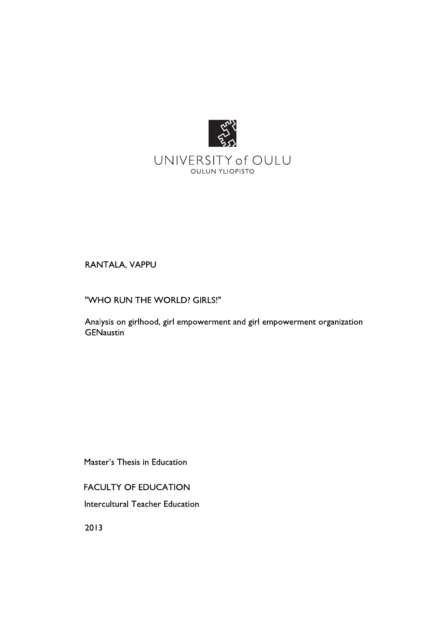

# RANTALA, VAPPU

"WHO RUN THE WORLD? GIRLS!"

Analysis on girlhood, girl empowerment and girl empowerment organization **GENaustin** 

Master's Thesis in Education

**FACULTY OF EDUCATION** 

Intercultural Teacher Education

2013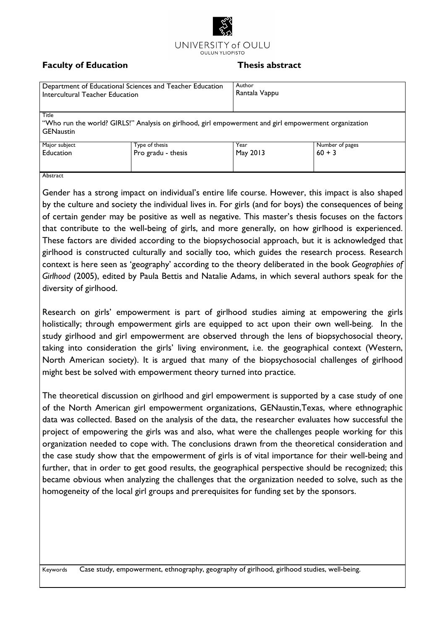

# **Faculty of Education**

#### Thesis abstract

| Department of Educational Sciences and Teacher Education<br>Intercultural Teacher Education                                       |                                      | Author<br>Rantala Vappu |                             |  |  |  |
|-----------------------------------------------------------------------------------------------------------------------------------|--------------------------------------|-------------------------|-----------------------------|--|--|--|
| Title<br>"Who run the world? GIRLS!" Analysis on girlhood, girl empowerment and girl empowerment organization<br><b>GENaustin</b> |                                      |                         |                             |  |  |  |
|                                                                                                                                   |                                      |                         |                             |  |  |  |
| Major subject<br><b>Education</b><br>$\mathbf{A}$ and $\mathbf{A}$                                                                | Type of thesis<br>Pro gradu - thesis | Year<br>May 2013        | Number of pages<br>$60 + 3$ |  |  |  |

#### Abstract

Gender has a strong impact on individual's entire life course. However, this impact is also shaped by the culture and society the individual lives in. For girls (and for boys) the consequences of being of certain gender may be positive as well as negative. This master's thesis focuses on the factors that contribute to the well-being of girls, and more generally, on how girlhood is experienced. These factors are divided according to the biopsychosocial approach, but it is acknowledged that girlhood is constructed culturally and socially too, which guides the research process. Research context is here seen as 'geography' according to the theory deliberated in the book Geographies of Girlhood (2005), edited by Paula Bettis and Natalie Adams, in which several authors speak for the diversity of girlhood.

Research on girls' empowerment is part of girlhood studies aiming at empowering the girls holistically; through empowerment girls are equipped to act upon their own well-being. In the study girlhood and girl empowerment are observed through the lens of biopsychosocial theory, taking into consideration the girls' living environment, i.e. the geographical context (Western, North American society). It is argued that many of the biopsychosocial challenges of girlhood might best be solved with empowerment theory turned into practice.

The theoretical discussion on girlhood and girl empowerment is supported by a case study of one of the North American girl empowerment organizations, GENaustin, Texas, where ethnographic data was collected. Based on the analysis of the data, the researcher evaluates how successful the project of empowering the girls was and also, what were the challenges people working for this organization needed to cope with. The conclusions drawn from the theoretical consideration and the case study show that the empowerment of girls is of vital importance for their well-being and further, that in order to get good results, the geographical perspective should be recognized; this became obvious when analyzing the challenges that the organization needed to solve, such as the homogeneity of the local girl groups and prerequisites for funding set by the sponsors.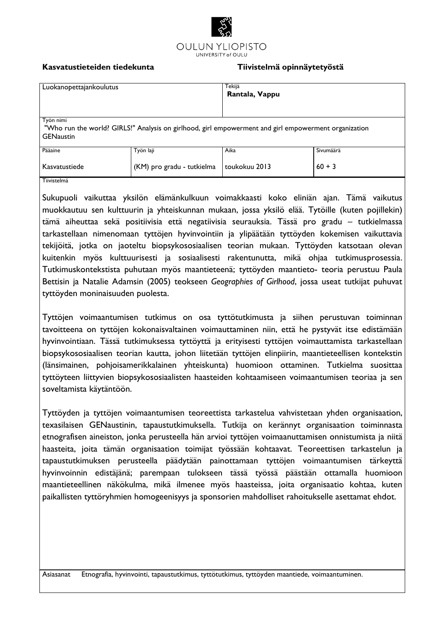

#### **Kasvatustieteiden tiedekunta Tiivistelmä opinnäytetyöstä**

| Luokanopettajankoulutus                                                                                                        |                            | Tekijä<br>Rantala, Vappu |           |  |  |
|--------------------------------------------------------------------------------------------------------------------------------|----------------------------|--------------------------|-----------|--|--|
| Työn nimi<br>"Who run the world? GIRLS!" Analysis on girlhood, girl empowerment and girl empowerment organization<br>GENaustin |                            |                          |           |  |  |
| Pääaine                                                                                                                        | Työn laji                  | Aika                     | Sivumäärä |  |  |
| Kasvatustiede                                                                                                                  | (KM) pro gradu - tutkielma | toukokuu 2013            | $60 + 3$  |  |  |
| Tiivistelmä                                                                                                                    |                            |                          |           |  |  |

Sukupuoli vaikuttaa yksilön elämänkulkuun voimakkaasti koko eliniän ajan. Tämä vaikutus muokkautuu sen kulttuurin ja yhteiskunnan mukaan, jossa yksilö elää. Tytöille (kuten pojillekin) tämä aiheuttaa sekä positiivisia että negatiivisia seurauksia. Tässä pro gradu – tutkielmassa tarkastellaan nimenomaan tyttöjen hyvinvointiin ja ylipäätään tyttöyden kokemisen vaikuttavia tekijöitä, jotka on jaoteltu biopsykososiaalisen teorian mukaan. Tyttöyden katsotaan olevan kuitenkin myös kulttuurisesti ja sosiaalisesti rakentunutta, mikä ohjaa tutkimusprosessia. Tutkimuskontekstista puhutaan myös maantieteenä; tyttöyden maantieto- teoria perustuu Paula Bettisin ja Natalie Adamsin (2005) teokseen *Geographies of Girlhood*, jossa useat tutkijat puhuvat tyttöyden moninaisuuden puolesta.

Tyttöjen voimaantumisen tutkimus on osa tyttötutkimusta ja siihen perustuvan toiminnan tavoitteena on tyttöjen kokonaisvaltainen voimauttaminen niin, että he pystyvät itse edistämään hyvinvointiaan. Tässä tutkimuksessa tyttöyttä ja erityisesti tyttöjen voimauttamista tarkastellaan biopsykososiaalisen teorian kautta, johon liitetään tyttöjen elinpiirin, maantieteellisen kontekstin (länsimainen, pohjoisamerikkalainen yhteiskunta) huomioon ottaminen. Tutkielma suosittaa tyttöyteen liittyvien biopsykososiaalisten haasteiden kohtaamiseen voimaantumisen teoriaa ja sen soveltamista käytäntöön.

Tyttöyden ja tyttöjen voimaantumisen teoreettista tarkastelua vahvistetaan yhden organisaation, texasilaisen GENaustinin, tapaustutkimuksella. Tutkija on kerännyt organisaation toiminnasta etnografisen aineiston, jonka perusteella hän arvioi tyttöjen voimaanuttamisen onnistumista ja niitä haasteita, joita tämän organisaation toimijat työssään kohtaavat. Teoreettisen tarkastelun ja tapaustutkimuksen perusteella päädytään painottamaan tyttöjen voimaantumisen tärkeyttä hyvinvoinnin edistäjänä; parempaan tulokseen tässä työssä päästään ottamalla huomioon maantieteellinen näkökulma, mikä ilmenee myös haasteissa, joita organisaatio kohtaa, kuten paikallisten tyttöryhmien homogeenisyys ja sponsorien mahdolliset rahoitukselle asettamat ehdot.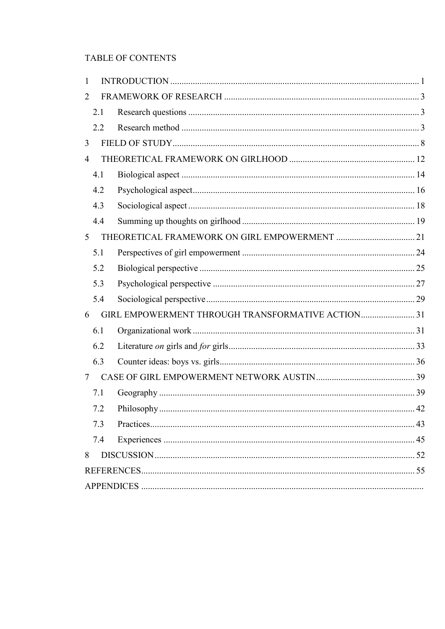# TABLE OF CONTENTS

| 1              |     |                                                  |    |
|----------------|-----|--------------------------------------------------|----|
| 2              |     |                                                  |    |
|                | 2.1 |                                                  |    |
|                | 2.2 |                                                  |    |
| 3              |     |                                                  |    |
| $\overline{4}$ |     |                                                  |    |
|                | 4.1 |                                                  |    |
|                | 4.2 |                                                  |    |
|                | 4.3 |                                                  |    |
|                | 4.4 |                                                  |    |
| 5              |     |                                                  |    |
|                | 5.1 |                                                  |    |
|                | 5.2 |                                                  |    |
|                | 5.3 |                                                  |    |
|                | 5.4 |                                                  |    |
| 6              |     | GIRL EMPOWERMENT THROUGH TRANSFORMATIVE ACTION31 |    |
|                | 6.1 |                                                  |    |
|                | 6.2 |                                                  |    |
|                | 6.3 |                                                  |    |
| 7              |     |                                                  |    |
|                | 7.1 |                                                  |    |
|                | 7.2 | Philosophy                                       | 42 |
|                | 7.3 |                                                  |    |
|                | 7.4 |                                                  |    |
| 8              |     |                                                  |    |
|                |     |                                                  |    |
|                |     |                                                  |    |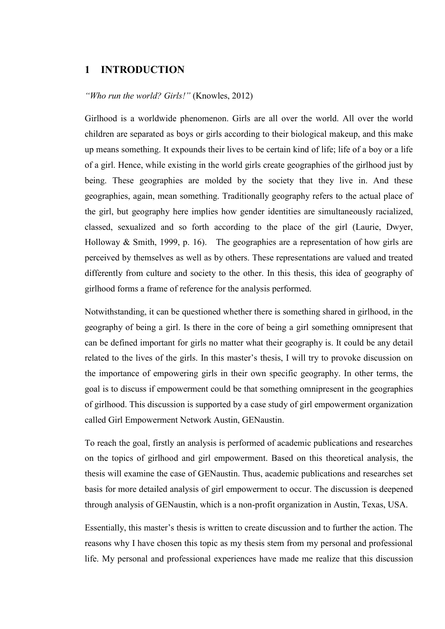# **1 INTRODUCTION**

#### *"Who run the world? Girls!"* (Knowles, 2012)

Girlhood is a worldwide phenomenon. Girls are all over the world. All over the world children are separated as boys or girls according to their biological makeup, and this make up means something. It expounds their lives to be certain kind of life; life of a boy or a life of a girl. Hence, while existing in the world girls create geographies of the girlhood just by being. These geographies are molded by the society that they live in. And these geographies, again, mean something. Traditionally geography refers to the actual place of the girl, but geography here implies how gender identities are simultaneously racialized, classed, sexualized and so forth according to the place of the girl (Laurie, Dwyer, Holloway  $& Smith, 1999, p. 16$ . The geographies are a representation of how girls are perceived by themselves as well as by others. These representations are valued and treated differently from culture and society to the other. In this thesis, this idea of geography of girlhood forms a frame of reference for the analysis performed.

Notwithstanding, it can be questioned whether there is something shared in girlhood, in the geography of being a girl. Is there in the core of being a girl something omnipresent that can be defined important for girls no matter what their geography is. It could be any detail related to the lives of the girls. In this master's thesis, I will try to provoke discussion on the importance of empowering girls in their own specific geography. In other terms, the goal is to discuss if empowerment could be that something omnipresent in the geographies of girlhood. This discussion is supported by a case study of girl empowerment organization called Girl Empowerment Network Austin, GENaustin.

To reach the goal, firstly an analysis is performed of academic publications and researches on the topics of girlhood and girl empowerment. Based on this theoretical analysis, the thesis will examine the case of GENaustin. Thus, academic publications and researches set basis for more detailed analysis of girl empowerment to occur. The discussion is deepened through analysis of GENaustin, which is a non-profit organization in Austin, Texas, USA.

Essentially, this master's thesis is written to create discussion and to further the action. The reasons why I have chosen this topic as my thesis stem from my personal and professional life. My personal and professional experiences have made me realize that this discussion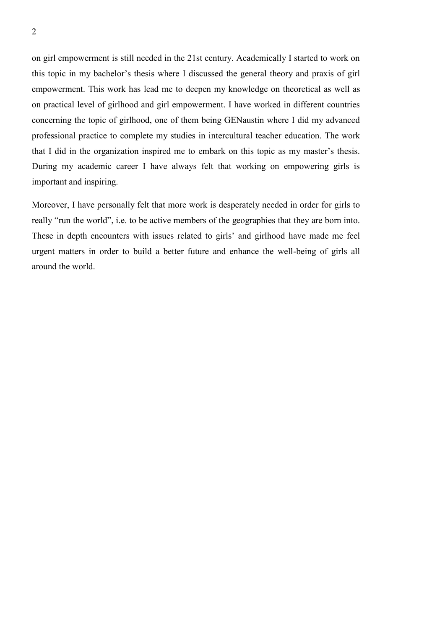on girl empowerment is still needed in the 21st century. Academically I started to work on this topic in my bachelor's thesis where I discussed the general theory and praxis of girl empowerment. This work has lead me to deepen my knowledge on theoretical as well as on practical level of girlhood and girl empowerment. I have worked in different countries concerning the topic of girlhood, one of them being GENaustin where I did my advanced professional practice to complete my studies in intercultural teacher education. The work that I did in the organization inspired me to embark on this topic as my master's thesis. During my academic career I have always felt that working on empowering girls is important and inspiring.

Moreover, I have personally felt that more work is desperately needed in order for girls to really "run the world", i.e. to be active members of the geographies that they are born into. These in depth encounters with issues related to girls' and girlhood have made me feel urgent matters in order to build a better future and enhance the well-being of girls all around the world.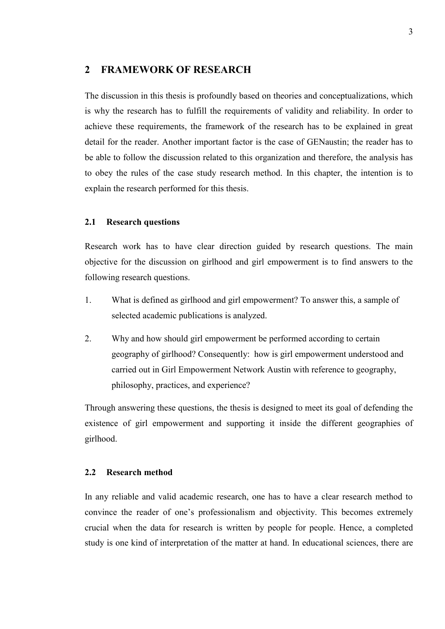# **2 FRAMEWORK OF RESEARCH**

The discussion in this thesis is profoundly based on theories and conceptualizations, which is why the research has to fulfill the requirements of validity and reliability. In order to achieve these requirements, the framework of the research has to be explained in great detail for the reader. Another important factor is the case of GENaustin; the reader has to be able to follow the discussion related to this organization and therefore, the analysis has to obey the rules of the case study research method. In this chapter, the intention is to explain the research performed for this thesis.

#### **2.1 Research questions**

Research work has to have clear direction guided by research questions. The main objective for the discussion on girlhood and girl empowerment is to find answers to the following research questions.

- 1. What is defined as girlhood and girl empowerment? To answer this, a sample of selected academic publications is analyzed.
- 2. Why and how should girl empowerment be performed according to certain geography of girlhood? Consequently: how is girl empowerment understood and carried out in Girl Empowerment Network Austin with reference to geography, philosophy, practices, and experience?

Through answering these questions, the thesis is designed to meet its goal of defending the existence of girl empowerment and supporting it inside the different geographies of girlhood.

# **2.2 Research method**

In any reliable and valid academic research, one has to have a clear research method to convince the reader of one's professionalism and objectivity. This becomes extremely crucial when the data for research is written by people for people. Hence, a completed study is one kind of interpretation of the matter at hand. In educational sciences, there are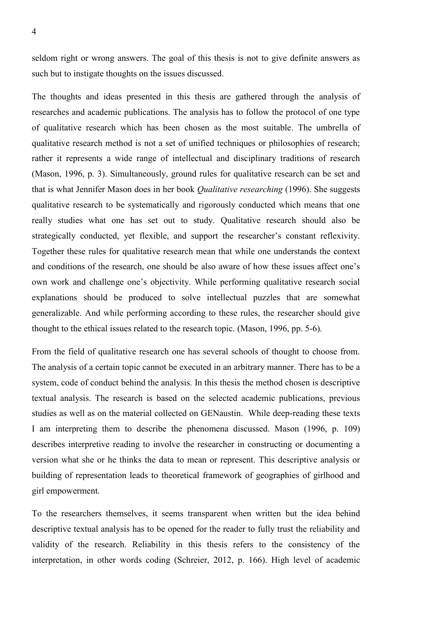seldom right or wrong answers. The goal of this thesis is not to give definite answers as such but to instigate thoughts on the issues discussed.

The thoughts and ideas presented in this thesis are gathered through the analysis of researches and academic publications. The analysis has to follow the protocol of one type of qualitative research which has been chosen as the most suitable. The umbrella of qualitative research method is not a set of unified techniques or philosophies of research; rather it represents a wide range of intellectual and disciplinary traditions of research (Mason, 1996, p. 3). Simultaneously, ground rules for qualitative research can be set and that is what Jennifer Mason does in her book *Qualitative researching* (1996). She suggests qualitative research to be systematically and rigorously conducted which means that one really studies what one has set out to study. Qualitative research should also be strategically conducted, yet flexible, and support the researcher's constant reflexivity. Together these rules for qualitative research mean that while one understands the context and conditions of the research, one should be also aware of how these issues affect one's own work and challenge one's objectivity. While performing qualitative research social explanations should be produced to solve intellectual puzzles that are somewhat generalizable. And while performing according to these rules, the researcher should give thought to the ethical issues related to the research topic. (Mason, 1996, pp. 5-6).

From the field of qualitative research one has several schools of thought to choose from. The analysis of a certain topic cannot be executed in an arbitrary manner. There has to be a system, code of conduct behind the analysis. In this thesis the method chosen is descriptive textual analysis. The research is based on the selected academic publications, previous studies as well as on the material collected on GENaustin. While deep-reading these texts I am interpreting them to describe the phenomena discussed. Mason (1996, p. 109) describes interpretive reading to involve the researcher in constructing or documenting a version what she or he thinks the data to mean or represent. This descriptive analysis or building of representation leads to theoretical framework of geographies of girlhood and girl empowerment.

To the researchers themselves, it seems transparent when written but the idea behind descriptive textual analysis has to be opened for the reader to fully trust the reliability and validity of the research. Reliability in this thesis refers to the consistency of the interpretation, in other words coding (Schreier, 2012, p. 166). High level of academic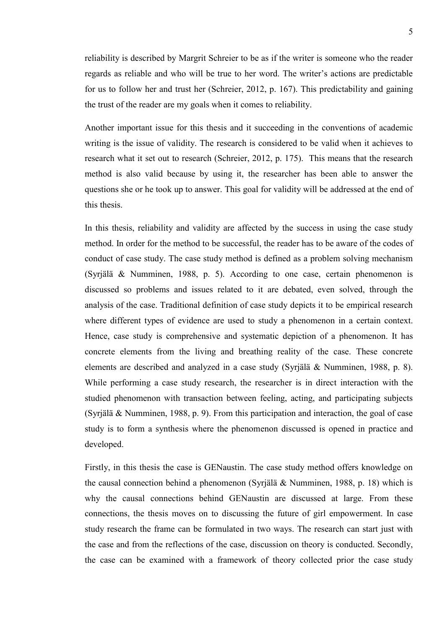reliability is described by Margrit Schreier to be as if the writer is someone who the reader regards as reliable and who will be true to her word. The writer's actions are predictable for us to follow her and trust her (Schreier, 2012, p. 167). This predictability and gaining the trust of the reader are my goals when it comes to reliability.

Another important issue for this thesis and it succeeding in the conventions of academic writing is the issue of validity. The research is considered to be valid when it achieves to research what it set out to research (Schreier, 2012, p. 175). This means that the research method is also valid because by using it, the researcher has been able to answer the questions she or he took up to answer. This goal for validity will be addressed at the end of this thesis.

In this thesis, reliability and validity are affected by the success in using the case study method. In order for the method to be successful, the reader has to be aware of the codes of conduct of case study. The case study method is defined as a problem solving mechanism (Syrjälä & Numminen, 1988, p. 5). According to one case, certain phenomenon is discussed so problems and issues related to it are debated, even solved, through the analysis of the case. Traditional definition of case study depicts it to be empirical research where different types of evidence are used to study a phenomenon in a certain context. Hence, case study is comprehensive and systematic depiction of a phenomenon. It has concrete elements from the living and breathing reality of the case. These concrete elements are described and analyzed in a case study (Syrjälä & Numminen, 1988, p. 8). While performing a case study research, the researcher is in direct interaction with the studied phenomenon with transaction between feeling, acting, and participating subjects (Syrjälä & Numminen, 1988, p. 9). From this participation and interaction, the goal of case study is to form a synthesis where the phenomenon discussed is opened in practice and developed.

Firstly, in this thesis the case is GENaustin. The case study method offers knowledge on the causal connection behind a phenomenon (Syrjälä & Numminen, 1988, p. 18) which is why the causal connections behind GENaustin are discussed at large. From these connections, the thesis moves on to discussing the future of girl empowerment. In case study research the frame can be formulated in two ways. The research can start just with the case and from the reflections of the case, discussion on theory is conducted. Secondly, the case can be examined with a framework of theory collected prior the case study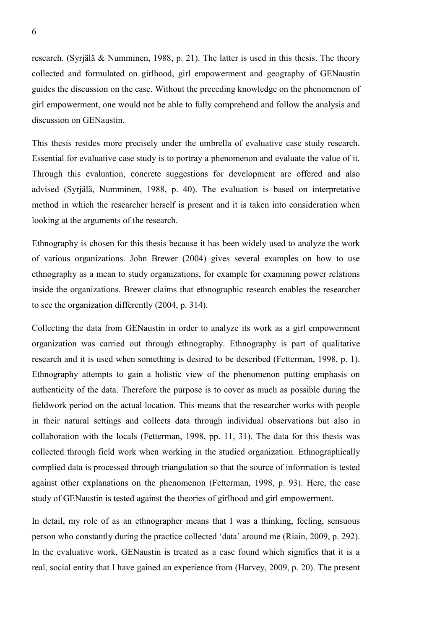research. (Syrjälä & Numminen, 1988, p. 21). The latter is used in this thesis. The theory collected and formulated on girlhood, girl empowerment and geography of GENaustin guides the discussion on the case. Without the preceding knowledge on the phenomenon of girl empowerment, one would not be able to fully comprehend and follow the analysis and discussion on GENaustin.

This thesis resides more precisely under the umbrella of evaluative case study research. Essential for evaluative case study is to portray a phenomenon and evaluate the value of it. Through this evaluation, concrete suggestions for development are offered and also advised (Syrjälä, Numminen, 1988, p. 40). The evaluation is based on interpretative method in which the researcher herself is present and it is taken into consideration when looking at the arguments of the research.

Ethnography is chosen for this thesis because it has been widely used to analyze the work of various organizations. John Brewer (2004) gives several examples on how to use ethnography as a mean to study organizations, for example for examining power relations inside the organizations. Brewer claims that ethnographic research enables the researcher to see the organization differently (2004, p. 314).

Collecting the data from GENaustin in order to analyze its work as a girl empowerment organization was carried out through ethnography. Ethnography is part of qualitative research and it is used when something is desired to be described (Fetterman, 1998, p. 1). Ethnography attempts to gain a holistic view of the phenomenon putting emphasis on authenticity of the data. Therefore the purpose is to cover as much as possible during the fieldwork period on the actual location. This means that the researcher works with people in their natural settings and collects data through individual observations but also in collaboration with the locals (Fetterman, 1998, pp. 11, 31). The data for this thesis was collected through field work when working in the studied organization. Ethnographically complied data is processed through triangulation so that the source of information is tested against other explanations on the phenomenon (Fetterman, 1998, p. 93). Here, the case study of GENaustin is tested against the theories of girlhood and girl empowerment.

In detail, my role of as an ethnographer means that I was a thinking, feeling, sensuous person who constantly during the practice collected 'data' around me (Riain, 2009, p. 292). In the evaluative work, GENaustin is treated as a case found which signifies that it is a real, social entity that I have gained an experience from (Harvey, 2009, p. 20). The present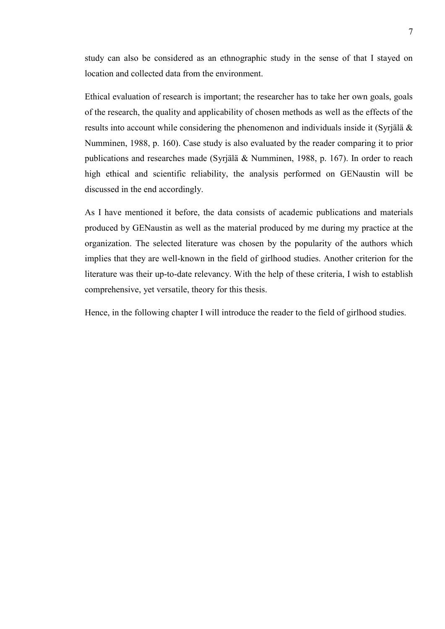study can also be considered as an ethnographic study in the sense of that I stayed on location and collected data from the environment.

Ethical evaluation of research is important; the researcher has to take her own goals, goals of the research, the quality and applicability of chosen methods as well as the effects of the results into account while considering the phenomenon and individuals inside it (Syrjälä & Numminen, 1988, p. 160). Case study is also evaluated by the reader comparing it to prior publications and researches made (Syrjälä & Numminen, 1988, p. 167). In order to reach high ethical and scientific reliability, the analysis performed on GENaustin will be discussed in the end accordingly.

As I have mentioned it before, the data consists of academic publications and materials produced by GENaustin as well as the material produced by me during my practice at the organization. The selected literature was chosen by the popularity of the authors which implies that they are well-known in the field of girlhood studies. Another criterion for the literature was their up-to-date relevancy. With the help of these criteria, I wish to establish comprehensive, yet versatile, theory for this thesis.

Hence, in the following chapter I will introduce the reader to the field of girlhood studies.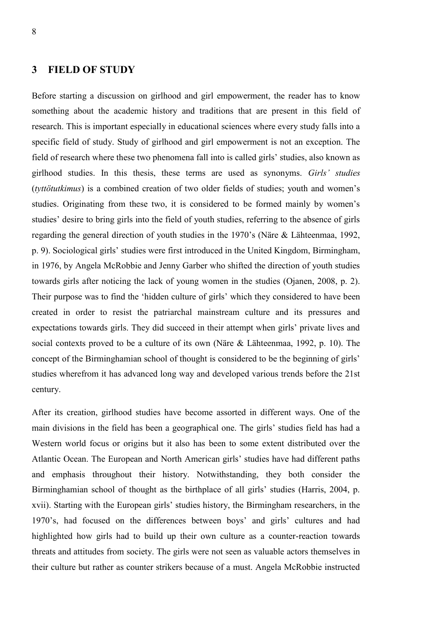# **3 FIELD OF STUDY**

Before starting a discussion on girlhood and girl empowerment, the reader has to know something about the academic history and traditions that are present in this field of research. This is important especially in educational sciences where every study falls into a specific field of study. Study of girlhood and girl empowerment is not an exception. The field of research where these two phenomena fall into is called girls' studies, also known as girlhood studies. In this thesis, these terms are used as synonyms. *Girls' studies* (*tyttötutkimus*) is a combined creation of two older fields of studies; youth and women's studies. Originating from these two, it is considered to be formed mainly by women's studies' desire to bring girls into the field of youth studies, referring to the absence of girls regarding the general direction of youth studies in the 1970's (Näre & Lähteenmaa, 1992, p. 9). Sociological girls' studies were first introduced in the United Kingdom, Birmingham, in 1976, by Angela McRobbie and Jenny Garber who shifted the direction of youth studies towards girls after noticing the lack of young women in the studies (Ojanen, 2008, p. 2). Their purpose was to find the 'hidden culture of girls' which they considered to have been created in order to resist the patriarchal mainstream culture and its pressures and expectations towards girls. They did succeed in their attempt when girls' private lives and social contexts proved to be a culture of its own (Näre & Lähteenmaa, 1992, p. 10). The concept of the Birminghamian school of thought is considered to be the beginning of girls' studies wherefrom it has advanced long way and developed various trends before the 21st century.

After its creation, girlhood studies have become assorted in different ways. One of the main divisions in the field has been a geographical one. The girls' studies field has had a Western world focus or origins but it also has been to some extent distributed over the Atlantic Ocean. The European and North American girls' studies have had different paths and emphasis throughout their history. Notwithstanding, they both consider the Birminghamian school of thought as the birthplace of all girls' studies (Harris, 2004, p. xvii). Starting with the European girls' studies history, the Birmingham researchers, in the 1970's, had focused on the differences between boys' and girls' cultures and had highlighted how girls had to build up their own culture as a counter-reaction towards threats and attitudes from society. The girls were not seen as valuable actors themselves in their culture but rather as counter strikers because of a must. Angela McRobbie instructed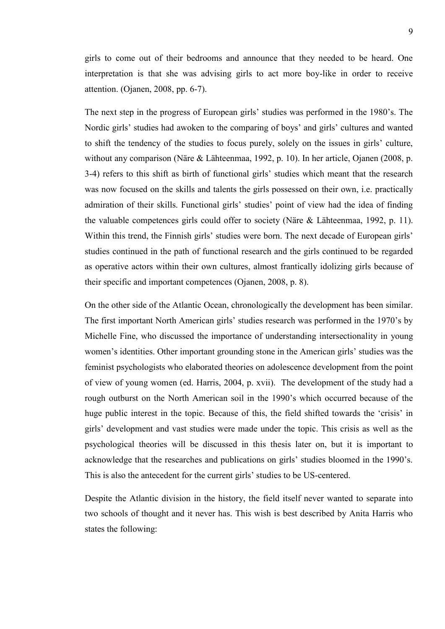girls to come out of their bedrooms and announce that they needed to be heard. One interpretation is that she was advising girls to act more boy-like in order to receive attention. (Ojanen, 2008, pp. 6-7).

The next step in the progress of European girls' studies was performed in the 1980's. The Nordic girls' studies had awoken to the comparing of boys' and girls' cultures and wanted to shift the tendency of the studies to focus purely, solely on the issues in girls' culture, without any comparison (Näre & Lähteenmaa, 1992, p. 10). In her article, Ojanen (2008, p. 3-4) refers to this shift as birth of functional girls' studies which meant that the research was now focused on the skills and talents the girls possessed on their own, i.e. practically admiration of their skills. Functional girls' studies' point of view had the idea of finding the valuable competences girls could offer to society (Näre & Lähteenmaa, 1992, p. 11). Within this trend, the Finnish girls' studies were born. The next decade of European girls' studies continued in the path of functional research and the girls continued to be regarded as operative actors within their own cultures, almost frantically idolizing girls because of their specific and important competences (Ojanen, 2008, p. 8).

On the other side of the Atlantic Ocean, chronologically the development has been similar. The first important North American girls' studies research was performed in the 1970's by Michelle Fine, who discussed the importance of understanding intersectionality in young women's identities. Other important grounding stone in the American girls' studies was the feminist psychologists who elaborated theories on adolescence development from the point of view of young women (ed. Harris, 2004, p. xvii). The development of the study had a rough outburst on the North American soil in the 1990's which occurred because of the huge public interest in the topic. Because of this, the field shifted towards the 'crisis' in girls' development and vast studies were made under the topic. This crisis as well as the psychological theories will be discussed in this thesis later on, but it is important to acknowledge that the researches and publications on girls' studies bloomed in the 1990's. This is also the antecedent for the current girls' studies to be US-centered.

Despite the Atlantic division in the history, the field itself never wanted to separate into two schools of thought and it never has. This wish is best described by Anita Harris who states the following: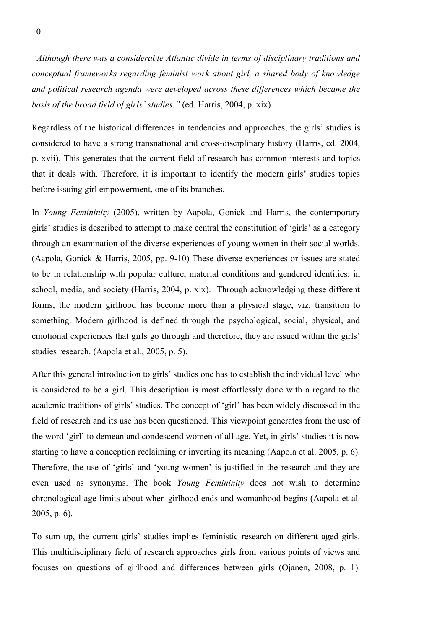*"Although there was a considerable Atlantic divide in terms of disciplinary traditions and conceptual frameworks regarding feminist work about girl, a shared body of knowledge and political research agenda were developed across these differences which became the basis of the broad field of girls' studies."* (ed. Harris, 2004, p. xix)

Regardless of the historical differences in tendencies and approaches, the girls' studies is considered to have a strong transnational and cross-disciplinary history (Harris, ed. 2004, p. xvii). This generates that the current field of research has common interests and topics that it deals with. Therefore, it is important to identify the modern girls' studies topics before issuing girl empowerment, one of its branches.

In *Young Femininity* (2005), written by Aapola, Gonick and Harris, the contemporary girls' studies is described to attempt to make central the constitution of 'girls' as a category through an examination of the diverse experiences of young women in their social worlds. (Aapola, Gonick & Harris, 2005, pp. 9-10) These diverse experiences or issues are stated to be in relationship with popular culture, material conditions and gendered identities: in school, media, and society (Harris, 2004, p. xix). Through acknowledging these different forms, the modern girlhood has become more than a physical stage, viz. transition to something. Modern girlhood is defined through the psychological, social, physical, and emotional experiences that girls go through and therefore, they are issued within the girls' studies research. (Aapola et al., 2005, p. 5).

After this general introduction to girls' studies one has to establish the individual level who is considered to be a girl. This description is most effortlessly done with a regard to the academic traditions of girls' studies. The concept of 'girl' has been widely discussed in the field of research and its use has been questioned. This viewpoint generates from the use of the word 'girl' to demean and condescend women of all age. Yet, in girls' studies it is now starting to have a conception reclaiming or inverting its meaning (Aapola et al. 2005, p. 6). Therefore, the use of 'girls' and 'young women' is justified in the research and they are even used as synonyms. The book *Young Femininity* does not wish to determine chronological age-limits about when girlhood ends and womanhood begins (Aapola et al. 2005, p. 6).

To sum up, the current girls' studies implies feministic research on different aged girls. This multidisciplinary field of research approaches girls from various points of views and focuses on questions of girlhood and differences between girls (Ojanen, 2008, p. 1).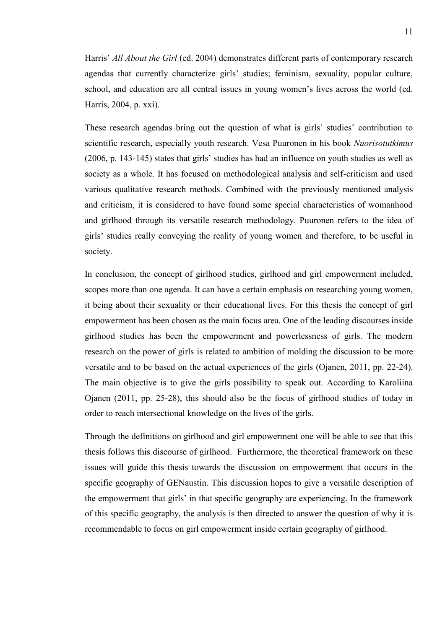Harris' *All About the Girl* (ed. 2004) demonstrates different parts of contemporary research agendas that currently characterize girls' studies; feminism, sexuality, popular culture, school, and education are all central issues in young women's lives across the world (ed. Harris, 2004, p. xxi).

These research agendas bring out the question of what is girls' studies' contribution to scientific research, especially youth research. Vesa Puuronen in his book *Nuorisotutkimus* (2006, p. 143-145) states that girls' studies has had an influence on youth studies as well as society as a whole. It has focused on methodological analysis and self-criticism and used various qualitative research methods. Combined with the previously mentioned analysis and criticism, it is considered to have found some special characteristics of womanhood and girlhood through its versatile research methodology. Puuronen refers to the idea of girls' studies really conveying the reality of young women and therefore, to be useful in society.

In conclusion, the concept of girlhood studies, girlhood and girl empowerment included, scopes more than one agenda. It can have a certain emphasis on researching young women, it being about their sexuality or their educational lives. For this thesis the concept of girl empowerment has been chosen as the main focus area. One of the leading discourses inside girlhood studies has been the empowerment and powerlessness of girls. The modern research on the power of girls is related to ambition of molding the discussion to be more versatile and to be based on the actual experiences of the girls (Ojanen, 2011, pp. 22-24). The main objective is to give the girls possibility to speak out. According to Karoliina Ojanen (2011, pp. 25-28), this should also be the focus of girlhood studies of today in order to reach intersectional knowledge on the lives of the girls.

Through the definitions on girlhood and girl empowerment one will be able to see that this thesis follows this discourse of girlhood. Furthermore, the theoretical framework on these issues will guide this thesis towards the discussion on empowerment that occurs in the specific geography of GENaustin. This discussion hopes to give a versatile description of the empowerment that girls' in that specific geography are experiencing. In the framework of this specific geography, the analysis is then directed to answer the question of why it is recommendable to focus on girl empowerment inside certain geography of girlhood.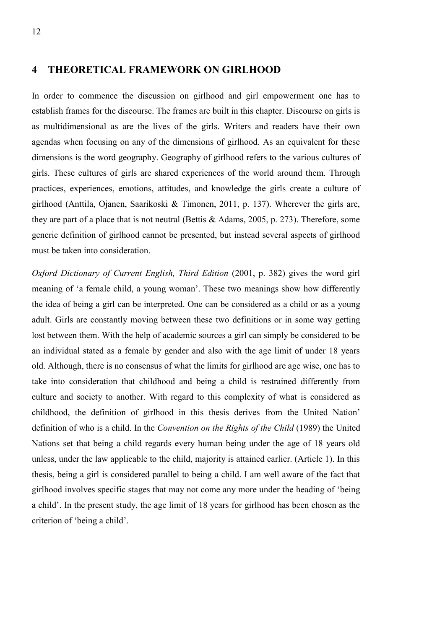# **4 THEORETICAL FRAMEWORK ON GIRLHOOD**

In order to commence the discussion on girlhood and girl empowerment one has to establish frames for the discourse. The frames are built in this chapter. Discourse on girls is as multidimensional as are the lives of the girls. Writers and readers have their own agendas when focusing on any of the dimensions of girlhood. As an equivalent for these dimensions is the word geography. Geography of girlhood refers to the various cultures of girls. These cultures of girls are shared experiences of the world around them. Through practices, experiences, emotions, attitudes, and knowledge the girls create a culture of girlhood (Anttila, Ojanen, Saarikoski & Timonen, 2011, p. 137). Wherever the girls are, they are part of a place that is not neutral (Bettis & Adams, 2005, p. 273). Therefore, some generic definition of girlhood cannot be presented, but instead several aspects of girlhood must be taken into consideration.

*Oxford Dictionary of Current English, Third Edition* (2001, p. 382) gives the word girl meaning of 'a female child, a young woman'. These two meanings show how differently the idea of being a girl can be interpreted. One can be considered as a child or as a young adult. Girls are constantly moving between these two definitions or in some way getting lost between them. With the help of academic sources a girl can simply be considered to be an individual stated as a female by gender and also with the age limit of under 18 years old. Although, there is no consensus of what the limits for girlhood are age wise, one has to take into consideration that childhood and being a child is restrained differently from culture and society to another. With regard to this complexity of what is considered as childhood, the definition of girlhood in this thesis derives from the United Nation' definition of who is a child. In the *Convention on the Rights of the Child* (1989) the United Nations set that being a child regards every human being under the age of 18 years old unless, under the law applicable to the child, majority is attained earlier. (Article 1). In this thesis, being a girl is considered parallel to being a child. I am well aware of the fact that girlhood involves specific stages that may not come any more under the heading of 'being a child'. In the present study, the age limit of 18 years for girlhood has been chosen as the criterion of 'being a child'.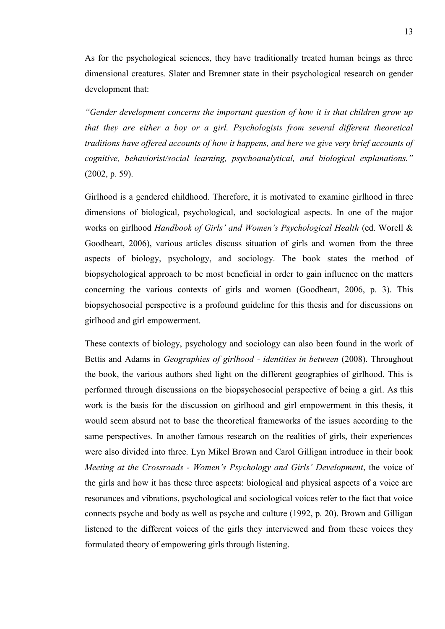As for the psychological sciences, they have traditionally treated human beings as three dimensional creatures. Slater and Bremner state in their psychological research on gender development that:

*"Gender development concerns the important question of how it is that children grow up that they are either a boy or a girl. Psychologists from several different theoretical traditions have offered accounts of how it happens, and here we give very brief accounts of cognitive, behaviorist/social learning, psychoanalytical, and biological explanations."* (2002, p. 59).

Girlhood is a gendered childhood. Therefore, it is motivated to examine girlhood in three dimensions of biological, psychological, and sociological aspects. In one of the major works on girlhood *Handbook of Girls' and Women's Psychological Health* (ed. Worell & Goodheart, 2006), various articles discuss situation of girls and women from the three aspects of biology, psychology, and sociology. The book states the method of biopsychological approach to be most beneficial in order to gain influence on the matters concerning the various contexts of girls and women (Goodheart, 2006, p. 3). This biopsychosocial perspective is a profound guideline for this thesis and for discussions on girlhood and girl empowerment.

These contexts of biology, psychology and sociology can also been found in the work of Bettis and Adams in *Geographies of girlhood - identities in between* (2008). Throughout the book, the various authors shed light on the different geographies of girlhood. This is performed through discussions on the biopsychosocial perspective of being a girl. As this work is the basis for the discussion on girlhood and girl empowerment in this thesis, it would seem absurd not to base the theoretical frameworks of the issues according to the same perspectives. In another famous research on the realities of girls, their experiences were also divided into three. Lyn Mikel Brown and Carol Gilligan introduce in their book *Meeting at the Crossroads - Women's Psychology and Girls' Development*, the voice of the girls and how it has these three aspects: biological and physical aspects of a voice are resonances and vibrations, psychological and sociological voices refer to the fact that voice connects psyche and body as well as psyche and culture (1992, p. 20). Brown and Gilligan listened to the different voices of the girls they interviewed and from these voices they formulated theory of empowering girls through listening.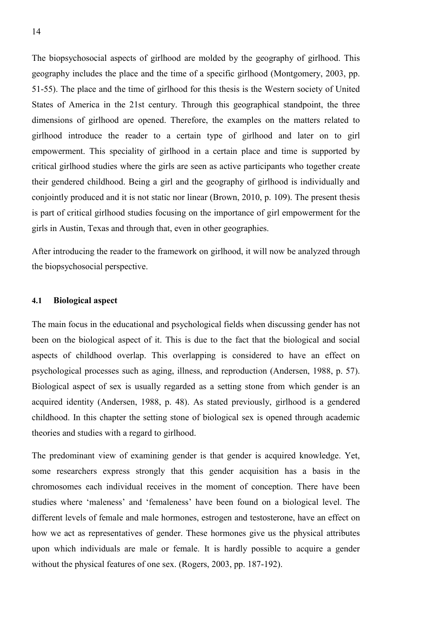The biopsychosocial aspects of girlhood are molded by the geography of girlhood. This geography includes the place and the time of a specific girlhood (Montgomery, 2003, pp. 51-55). The place and the time of girlhood for this thesis is the Western society of United States of America in the 21st century. Through this geographical standpoint, the three dimensions of girlhood are opened. Therefore, the examples on the matters related to girlhood introduce the reader to a certain type of girlhood and later on to girl empowerment. This speciality of girlhood in a certain place and time is supported by critical girlhood studies where the girls are seen as active participants who together create their gendered childhood. Being a girl and the geography of girlhood is individually and conjointly produced and it is not static nor linear (Brown, 2010, p. 109). The present thesis is part of critical girlhood studies focusing on the importance of girl empowerment for the girls in Austin, Texas and through that, even in other geographies.

After introducing the reader to the framework on girlhood, it will now be analyzed through the biopsychosocial perspective.

#### **4.1 Biological aspect**

The main focus in the educational and psychological fields when discussing gender has not been on the biological aspect of it. This is due to the fact that the biological and social aspects of childhood overlap. This overlapping is considered to have an effect on psychological processes such as aging, illness, and reproduction (Andersen, 1988, p. 57). Biological aspect of sex is usually regarded as a setting stone from which gender is an acquired identity (Andersen, 1988, p. 48). As stated previously, girlhood is a gendered childhood. In this chapter the setting stone of biological sex is opened through academic theories and studies with a regard to girlhood.

The predominant view of examining gender is that gender is acquired knowledge. Yet, some researchers express strongly that this gender acquisition has a basis in the chromosomes each individual receives in the moment of conception. There have been studies where 'maleness' and 'femaleness' have been found on a biological level. The different levels of female and male hormones, estrogen and testosterone, have an effect on how we act as representatives of gender. These hormones give us the physical attributes upon which individuals are male or female. It is hardly possible to acquire a gender without the physical features of one sex. (Rogers, 2003, pp. 187-192).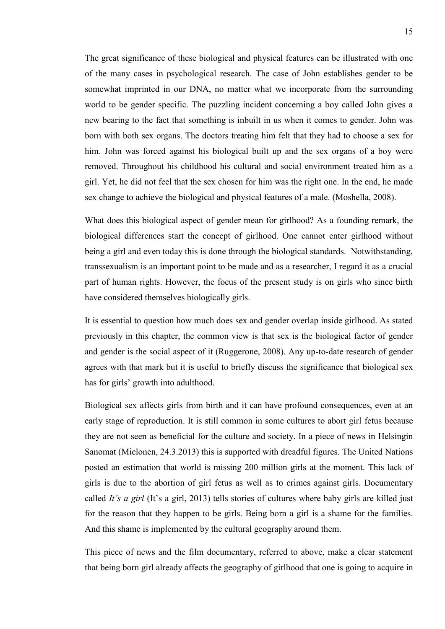The great significance of these biological and physical features can be illustrated with one of the many cases in psychological research. The case of John establishes gender to be somewhat imprinted in our DNA, no matter what we incorporate from the surrounding world to be gender specific. The puzzling incident concerning a boy called John gives a new bearing to the fact that something is inbuilt in us when it comes to gender. John was born with both sex organs. The doctors treating him felt that they had to choose a sex for him. John was forced against his biological built up and the sex organs of a boy were removed. Throughout his childhood his cultural and social environment treated him as a girl. Yet, he did not feel that the sex chosen for him was the right one. In the end, he made sex change to achieve the biological and physical features of a male. (Moshella, 2008).

What does this biological aspect of gender mean for girlhood? As a founding remark, the biological differences start the concept of girlhood. One cannot enter girlhood without being a girl and even today this is done through the biological standards. Notwithstanding, transsexualism is an important point to be made and as a researcher, I regard it as a crucial part of human rights. However, the focus of the present study is on girls who since birth have considered themselves biologically girls.

It is essential to question how much does sex and gender overlap inside girlhood. As stated previously in this chapter, the common view is that sex is the biological factor of gender and gender is the social aspect of it (Ruggerone, 2008). Any up-to-date research of gender agrees with that mark but it is useful to briefly discuss the significance that biological sex has for girls' growth into adulthood.

Biological sex affects girls from birth and it can have profound consequences, even at an early stage of reproduction. It is still common in some cultures to abort girl fetus because they are not seen as beneficial for the culture and society. In a piece of news in Helsingin Sanomat (Mielonen, 24.3.2013) this is supported with dreadful figures. The United Nations posted an estimation that world is missing 200 million girls at the moment. This lack of girls is due to the abortion of girl fetus as well as to crimes against girls. Documentary called *It's a girl* (It's a girl, 2013) tells stories of cultures where baby girls are killed just for the reason that they happen to be girls. Being born a girl is a shame for the families. And this shame is implemented by the cultural geography around them.

This piece of news and the film documentary, referred to above, make a clear statement that being born girl already affects the geography of girlhood that one is going to acquire in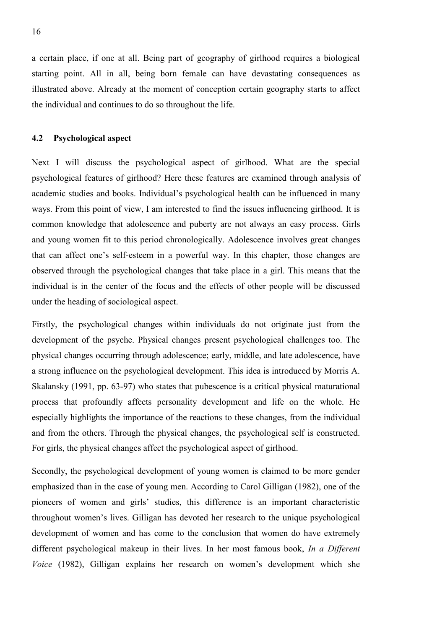a certain place, if one at all. Being part of geography of girlhood requires a biological starting point. All in all, being born female can have devastating consequences as illustrated above. Already at the moment of conception certain geography starts to affect the individual and continues to do so throughout the life.

#### **4.2 Psychological aspect**

Next I will discuss the psychological aspect of girlhood. What are the special psychological features of girlhood? Here these features are examined through analysis of academic studies and books. Individual's psychological health can be influenced in many ways. From this point of view, I am interested to find the issues influencing girlhood. It is common knowledge that adolescence and puberty are not always an easy process. Girls and young women fit to this period chronologically. Adolescence involves great changes that can affect one's self-esteem in a powerful way. In this chapter, those changes are observed through the psychological changes that take place in a girl. This means that the individual is in the center of the focus and the effects of other people will be discussed under the heading of sociological aspect.

Firstly, the psychological changes within individuals do not originate just from the development of the psyche. Physical changes present psychological challenges too. The physical changes occurring through adolescence; early, middle, and late adolescence, have a strong influence on the psychological development. This idea is introduced by Morris A. Skalansky (1991, pp. 63-97) who states that pubescence is a critical physical maturational process that profoundly affects personality development and life on the whole. He especially highlights the importance of the reactions to these changes, from the individual and from the others. Through the physical changes, the psychological self is constructed. For girls, the physical changes affect the psychological aspect of girlhood.

Secondly, the psychological development of young women is claimed to be more gender emphasized than in the case of young men. According to Carol Gilligan (1982), one of the pioneers of women and girls' studies, this difference is an important characteristic throughout women's lives. Gilligan has devoted her research to the unique psychological development of women and has come to the conclusion that women do have extremely different psychological makeup in their lives. In her most famous book, *In a Different Voice* (1982), Gilligan explains her research on women's development which she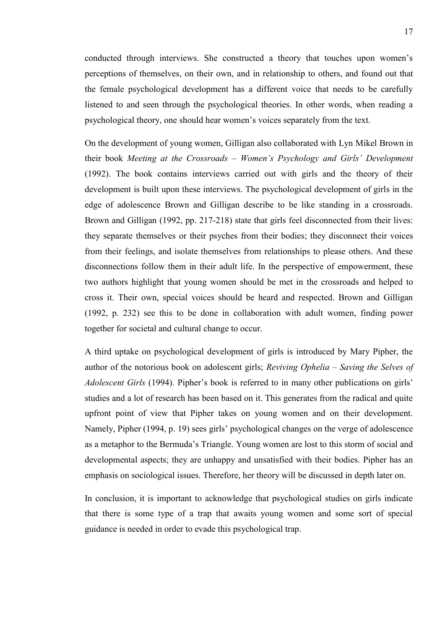conducted through interviews. She constructed a theory that touches upon women's perceptions of themselves, on their own, and in relationship to others, and found out that the female psychological development has a different voice that needs to be carefully listened to and seen through the psychological theories. In other words, when reading a psychological theory, one should hear women's voices separately from the text.

On the development of young women, Gilligan also collaborated with Lyn Mikel Brown in their book *Meeting at the Crossroads – Women's Psychology and Girls' Development* (1992). The book contains interviews carried out with girls and the theory of their development is built upon these interviews. The psychological development of girls in the edge of adolescence Brown and Gilligan describe to be like standing in a crossroads. Brown and Gilligan (1992, pp. 217-218) state that girls feel disconnected from their lives: they separate themselves or their psyches from their bodies; they disconnect their voices from their feelings, and isolate themselves from relationships to please others. And these disconnections follow them in their adult life. In the perspective of empowerment, these two authors highlight that young women should be met in the crossroads and helped to cross it. Their own, special voices should be heard and respected. Brown and Gilligan (1992, p. 232) see this to be done in collaboration with adult women, finding power together for societal and cultural change to occur.

A third uptake on psychological development of girls is introduced by Mary Pipher, the author of the notorious book on adolescent girls; *Reviving Ophelia – Saving the Selves of Adolescent Girls* (1994). Pipher's book is referred to in many other publications on girls' studies and a lot of research has been based on it. This generates from the radical and quite upfront point of view that Pipher takes on young women and on their development. Namely, Pipher (1994, p. 19) sees girls' psychological changes on the verge of adolescence as a metaphor to the Bermuda's Triangle. Young women are lost to this storm of social and developmental aspects; they are unhappy and unsatisfied with their bodies. Pipher has an emphasis on sociological issues. Therefore, her theory will be discussed in depth later on.

In conclusion, it is important to acknowledge that psychological studies on girls indicate that there is some type of a trap that awaits young women and some sort of special guidance is needed in order to evade this psychological trap.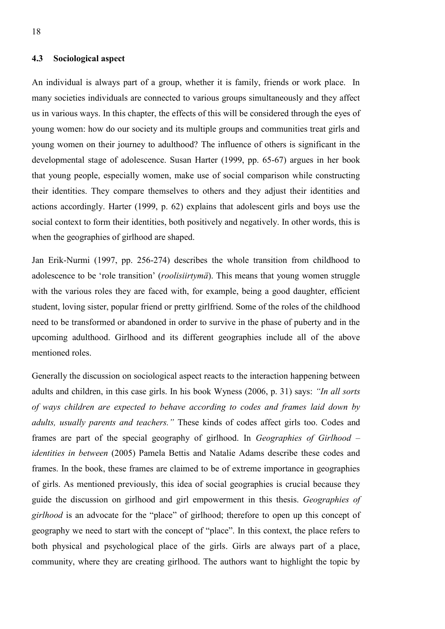### **4.3 Sociological aspect**

An individual is always part of a group, whether it is family, friends or work place. In many societies individuals are connected to various groups simultaneously and they affect us in various ways. In this chapter, the effects of this will be considered through the eyes of young women: how do our society and its multiple groups and communities treat girls and young women on their journey to adulthood? The influence of others is significant in the developmental stage of adolescence. Susan Harter (1999, pp. 65-67) argues in her book that young people, especially women, make use of social comparison while constructing their identities. They compare themselves to others and they adjust their identities and actions accordingly. Harter (1999, p. 62) explains that adolescent girls and boys use the social context to form their identities, both positively and negatively. In other words, this is when the geographies of girlhood are shaped.

Jan Erik-Nurmi (1997, pp. 256-274) describes the whole transition from childhood to adolescence to be 'role transition' (*roolisiirtymä*). This means that young women struggle with the various roles they are faced with, for example, being a good daughter, efficient student, loving sister, popular friend or pretty girlfriend. Some of the roles of the childhood need to be transformed or abandoned in order to survive in the phase of puberty and in the upcoming adulthood. Girlhood and its different geographies include all of the above mentioned roles.

Generally the discussion on sociological aspect reacts to the interaction happening between adults and children, in this case girls. In his book Wyness (2006, p. 31) says: *"In all sorts of ways children are expected to behave according to codes and frames laid down by adults, usually parents and teachers."* These kinds of codes affect girls too. Codes and frames are part of the special geography of girlhood. In *Geographies of Girlhood – identities in between* (2005) Pamela Bettis and Natalie Adams describe these codes and frames. In the book, these frames are claimed to be of extreme importance in geographies of girls. As mentioned previously, this idea of social geographies is crucial because they guide the discussion on girlhood and girl empowerment in this thesis. *Geographies of girlhood* is an advocate for the "place" of girlhood; therefore to open up this concept of geography we need to start with the concept of "place". In this context, the place refers to both physical and psychological place of the girls. Girls are always part of a place, community, where they are creating girlhood. The authors want to highlight the topic by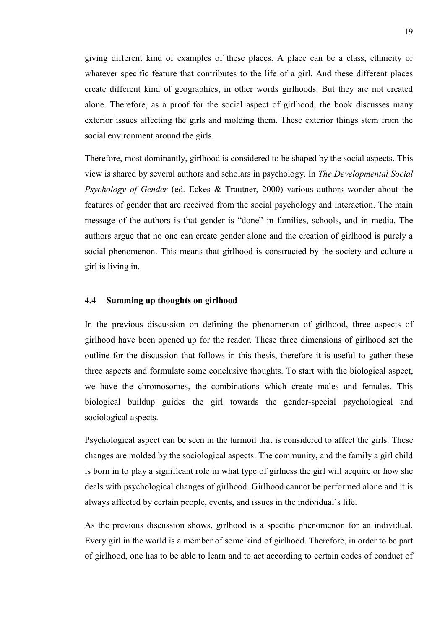giving different kind of examples of these places. A place can be a class, ethnicity or whatever specific feature that contributes to the life of a girl. And these different places create different kind of geographies, in other words girlhoods. But they are not created alone. Therefore, as a proof for the social aspect of girlhood, the book discusses many exterior issues affecting the girls and molding them. These exterior things stem from the social environment around the girls.

Therefore, most dominantly, girlhood is considered to be shaped by the social aspects. This view is shared by several authors and scholars in psychology. In *The Developmental Social Psychology of Gender* (ed. Eckes & Trautner, 2000) various authors wonder about the features of gender that are received from the social psychology and interaction. The main message of the authors is that gender is "done" in families, schools, and in media. The authors argue that no one can create gender alone and the creation of girlhood is purely a social phenomenon. This means that girlhood is constructed by the society and culture a girl is living in.

#### **4.4 Summing up thoughts on girlhood**

In the previous discussion on defining the phenomenon of girlhood, three aspects of girlhood have been opened up for the reader. These three dimensions of girlhood set the outline for the discussion that follows in this thesis, therefore it is useful to gather these three aspects and formulate some conclusive thoughts. To start with the biological aspect, we have the chromosomes, the combinations which create males and females. This biological buildup guides the girl towards the gender-special psychological and sociological aspects.

Psychological aspect can be seen in the turmoil that is considered to affect the girls. These changes are molded by the sociological aspects. The community, and the family a girl child is born in to play a significant role in what type of girlness the girl will acquire or how she deals with psychological changes of girlhood. Girlhood cannot be performed alone and it is always affected by certain people, events, and issues in the individual's life.

As the previous discussion shows, girlhood is a specific phenomenon for an individual. Every girl in the world is a member of some kind of girlhood. Therefore, in order to be part of girlhood, one has to be able to learn and to act according to certain codes of conduct of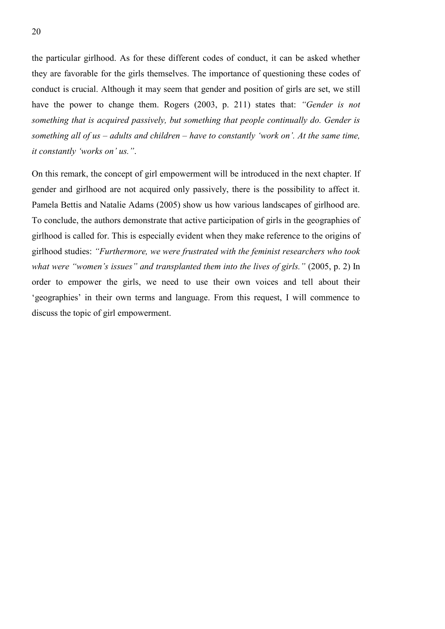the particular girlhood. As for these different codes of conduct, it can be asked whether they are favorable for the girls themselves. The importance of questioning these codes of conduct is crucial. Although it may seem that gender and position of girls are set, we still have the power to change them. Rogers (2003, p. 211) states that: *"Gender is not something that is acquired passively, but something that people continually do. Gender is something all of us – adults and children – have to constantly 'work on'. At the same time, it constantly 'works on' us."*.

On this remark, the concept of girl empowerment will be introduced in the next chapter. If gender and girlhood are not acquired only passively, there is the possibility to affect it. Pamela Bettis and Natalie Adams (2005) show us how various landscapes of girlhood are. To conclude, the authors demonstrate that active participation of girls in the geographies of girlhood is called for. This is especially evident when they make reference to the origins of girlhood studies: *"Furthermore, we were frustrated with the feminist researchers who took what were "women's issues" and transplanted them into the lives of girls." (2005, p. 2)* In order to empower the girls, we need to use their own voices and tell about their 'geographies' in their own terms and language. From this request, I will commence to discuss the topic of girl empowerment.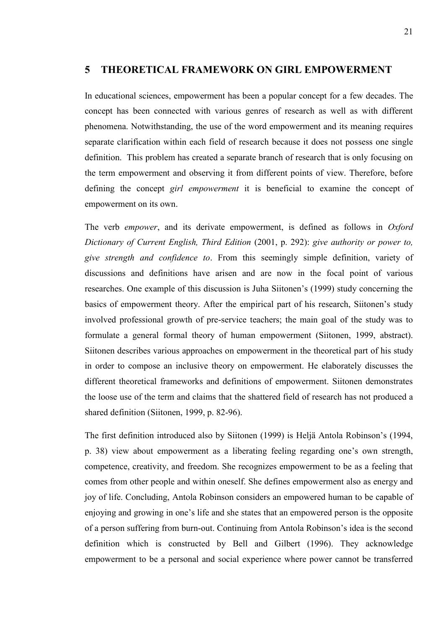# **5 THEORETICAL FRAMEWORK ON GIRL EMPOWERMENT**

In educational sciences, empowerment has been a popular concept for a few decades. The concept has been connected with various genres of research as well as with different phenomena. Notwithstanding, the use of the word empowerment and its meaning requires separate clarification within each field of research because it does not possess one single definition. This problem has created a separate branch of research that is only focusing on the term empowerment and observing it from different points of view. Therefore, before defining the concept *girl empowerment* it is beneficial to examine the concept of empowerment on its own.

The verb *empower*, and its derivate empowerment, is defined as follows in *Oxford Dictionary of Current English, Third Edition* (2001, p. 292): *give authority or power to, give strength and confidence to*. From this seemingly simple definition, variety of discussions and definitions have arisen and are now in the focal point of various researches. One example of this discussion is Juha Siitonen's (1999) study concerning the basics of empowerment theory. After the empirical part of his research, Siitonen's study involved professional growth of pre-service teachers; the main goal of the study was to formulate a general formal theory of human empowerment (Siitonen, 1999, abstract). Siitonen describes various approaches on empowerment in the theoretical part of his study in order to compose an inclusive theory on empowerment. He elaborately discusses the different theoretical frameworks and definitions of empowerment. Siitonen demonstrates the loose use of the term and claims that the shattered field of research has not produced a shared definition (Siitonen, 1999, p. 82-96).

The first definition introduced also by Siitonen (1999) is Heljä Antola Robinson's (1994, p. 38) view about empowerment as a liberating feeling regarding one's own strength, competence, creativity, and freedom. She recognizes empowerment to be as a feeling that comes from other people and within oneself. She defines empowerment also as energy and joy of life. Concluding, Antola Robinson considers an empowered human to be capable of enjoying and growing in one's life and she states that an empowered person is the opposite of a person suffering from burn-out. Continuing from Antola Robinson's idea is the second definition which is constructed by Bell and Gilbert (1996). They acknowledge empowerment to be a personal and social experience where power cannot be transferred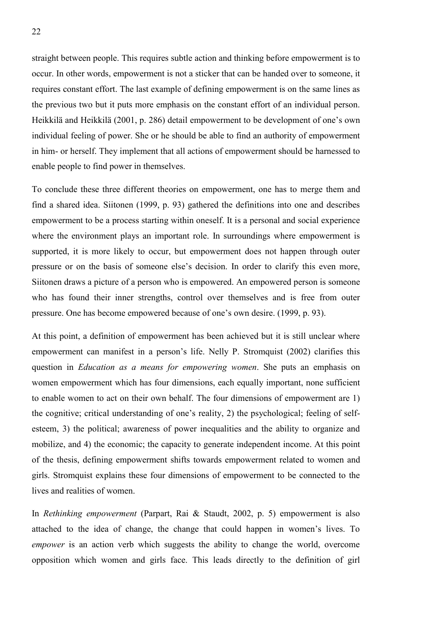straight between people. This requires subtle action and thinking before empowerment is to occur. In other words, empowerment is not a sticker that can be handed over to someone, it requires constant effort. The last example of defining empowerment is on the same lines as the previous two but it puts more emphasis on the constant effort of an individual person. Heikkilä and Heikkilä (2001, p. 286) detail empowerment to be development of one's own individual feeling of power. She or he should be able to find an authority of empowerment in him- or herself. They implement that all actions of empowerment should be harnessed to enable people to find power in themselves.

To conclude these three different theories on empowerment, one has to merge them and find a shared idea. Siitonen (1999, p. 93) gathered the definitions into one and describes empowerment to be a process starting within oneself. It is a personal and social experience where the environment plays an important role. In surroundings where empowerment is supported, it is more likely to occur, but empowerment does not happen through outer pressure or on the basis of someone else's decision. In order to clarify this even more, Siitonen draws a picture of a person who is empowered. An empowered person is someone who has found their inner strengths, control over themselves and is free from outer pressure. One has become empowered because of one's own desire. (1999, p. 93).

At this point, a definition of empowerment has been achieved but it is still unclear where empowerment can manifest in a person's life. Nelly P. Stromquist (2002) clarifies this question in *Education as a means for empowering women*. She puts an emphasis on women empowerment which has four dimensions, each equally important, none sufficient to enable women to act on their own behalf. The four dimensions of empowerment are 1) the cognitive; critical understanding of one's reality, 2) the psychological; feeling of selfesteem, 3) the political; awareness of power inequalities and the ability to organize and mobilize, and 4) the economic; the capacity to generate independent income. At this point of the thesis, defining empowerment shifts towards empowerment related to women and girls. Stromquist explains these four dimensions of empowerment to be connected to the lives and realities of women.

In *Rethinking empowerment* (Parpart, Rai & Staudt, 2002, p. 5) empowerment is also attached to the idea of change, the change that could happen in women's lives. To *empower* is an action verb which suggests the ability to change the world, overcome opposition which women and girls face. This leads directly to the definition of girl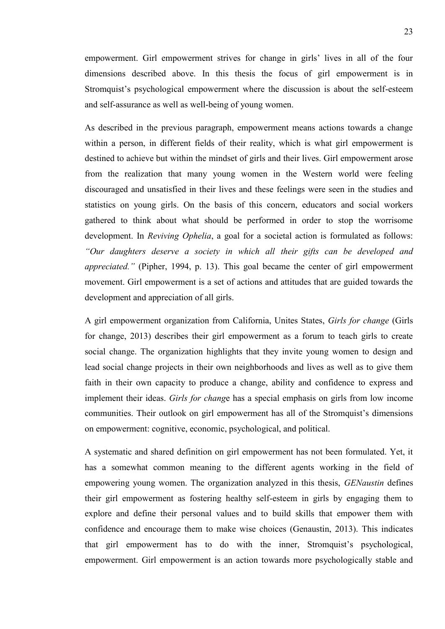empowerment. Girl empowerment strives for change in girls' lives in all of the four dimensions described above. In this thesis the focus of girl empowerment is in Stromquist's psychological empowerment where the discussion is about the self-esteem and self-assurance as well as well-being of young women.

As described in the previous paragraph, empowerment means actions towards a change within a person, in different fields of their reality, which is what girl empowerment is destined to achieve but within the mindset of girls and their lives. Girl empowerment arose from the realization that many young women in the Western world were feeling discouraged and unsatisfied in their lives and these feelings were seen in the studies and statistics on young girls. On the basis of this concern, educators and social workers gathered to think about what should be performed in order to stop the worrisome development. In *Reviving Ophelia*, a goal for a societal action is formulated as follows: *"Our daughters deserve a society in which all their gifts can be developed and appreciated."* (Pipher, 1994, p. 13). This goal became the center of girl empowerment movement. Girl empowerment is a set of actions and attitudes that are guided towards the development and appreciation of all girls.

A girl empowerment organization from California, Unites States, *Girls for change* (Girls for change, 2013) describes their girl empowerment as a forum to teach girls to create social change. The organization highlights that they invite young women to design and lead social change projects in their own neighborhoods and lives as well as to give them faith in their own capacity to produce a change, ability and confidence to express and implement their ideas. *Girls for chang*e has a special emphasis on girls from low income communities. Their outlook on girl empowerment has all of the Stromquist's dimensions on empowerment: cognitive, economic, psychological, and political.

A systematic and shared definition on girl empowerment has not been formulated. Yet, it has a somewhat common meaning to the different agents working in the field of empowering young women. The organization analyzed in this thesis, *GENaustin* defines their girl empowerment as fostering healthy self-esteem in girls by engaging them to explore and define their personal values and to build skills that empower them with confidence and encourage them to make wise choices (Genaustin, 2013). This indicates that girl empowerment has to do with the inner, Stromquist's psychological, empowerment. Girl empowerment is an action towards more psychologically stable and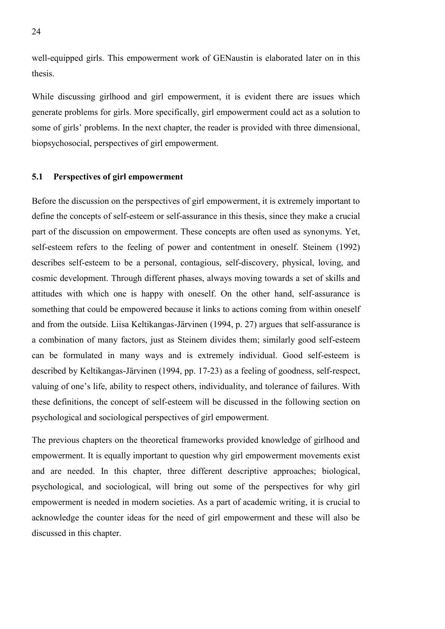well-equipped girls. This empowerment work of GENaustin is elaborated later on in this thesis.

While discussing girlhood and girl empowerment, it is evident there are issues which generate problems for girls. More specifically, girl empowerment could act as a solution to some of girls' problems. In the next chapter, the reader is provided with three dimensional, biopsychosocial, perspectives of girl empowerment.

### **5.1 Perspectives of girl empowerment**

Before the discussion on the perspectives of girl empowerment, it is extremely important to define the concepts of self-esteem or self-assurance in this thesis, since they make a crucial part of the discussion on empowerment. These concepts are often used as synonyms. Yet, self-esteem refers to the feeling of power and contentment in oneself. Steinem (1992) describes self-esteem to be a personal, contagious, self-discovery, physical, loving, and cosmic development. Through different phases, always moving towards a set of skills and attitudes with which one is happy with oneself. On the other hand, self-assurance is something that could be empowered because it links to actions coming from within oneself and from the outside. Liisa Keltikangas-Järvinen (1994, p. 27) argues that self-assurance is a combination of many factors, just as Steinem divides them; similarly good self-esteem can be formulated in many ways and is extremely individual. Good self-esteem is described by Keltikangas-Järvinen (1994, pp. 17-23) as a feeling of goodness, self-respect, valuing of one's life, ability to respect others, individuality, and tolerance of failures. With these definitions, the concept of self-esteem will be discussed in the following section on psychological and sociological perspectives of girl empowerment.

The previous chapters on the theoretical frameworks provided knowledge of girlhood and empowerment. It is equally important to question why girl empowerment movements exist and are needed. In this chapter, three different descriptive approaches; biological, psychological, and sociological, will bring out some of the perspectives for why girl empowerment is needed in modern societies. As a part of academic writing, it is crucial to acknowledge the counter ideas for the need of girl empowerment and these will also be discussed in this chapter.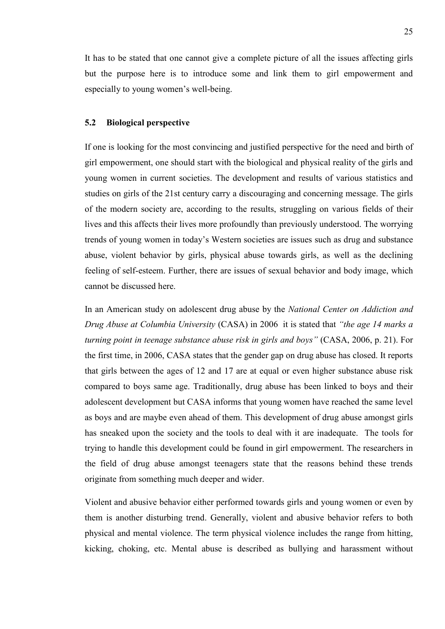It has to be stated that one cannot give a complete picture of all the issues affecting girls but the purpose here is to introduce some and link them to girl empowerment and especially to young women's well-being.

#### **5.2 Biological perspective**

If one is looking for the most convincing and justified perspective for the need and birth of girl empowerment, one should start with the biological and physical reality of the girls and young women in current societies. The development and results of various statistics and studies on girls of the 21st century carry a discouraging and concerning message. The girls of the modern society are, according to the results, struggling on various fields of their lives and this affects their lives more profoundly than previously understood. The worrying trends of young women in today's Western societies are issues such as drug and substance abuse, violent behavior by girls, physical abuse towards girls, as well as the declining feeling of self-esteem. Further, there are issues of sexual behavior and body image, which cannot be discussed here.

In an American study on adolescent drug abuse by the *National Center on Addiction and Drug Abuse at Columbia University* (CASA) in 2006 it is stated that *"the age 14 marks a turning point in teenage substance abuse risk in girls and boys"* (CASA, 2006, p. 21). For the first time, in 2006, CASA states that the gender gap on drug abuse has closed. It reports that girls between the ages of 12 and 17 are at equal or even higher substance abuse risk compared to boys same age. Traditionally, drug abuse has been linked to boys and their adolescent development but CASA informs that young women have reached the same level as boys and are maybe even ahead of them. This development of drug abuse amongst girls has sneaked upon the society and the tools to deal with it are inadequate. The tools for trying to handle this development could be found in girl empowerment. The researchers in the field of drug abuse amongst teenagers state that the reasons behind these trends originate from something much deeper and wider.

Violent and abusive behavior either performed towards girls and young women or even by them is another disturbing trend. Generally, violent and abusive behavior refers to both physical and mental violence. The term physical violence includes the range from hitting, kicking, choking, etc. Mental abuse is described as bullying and harassment without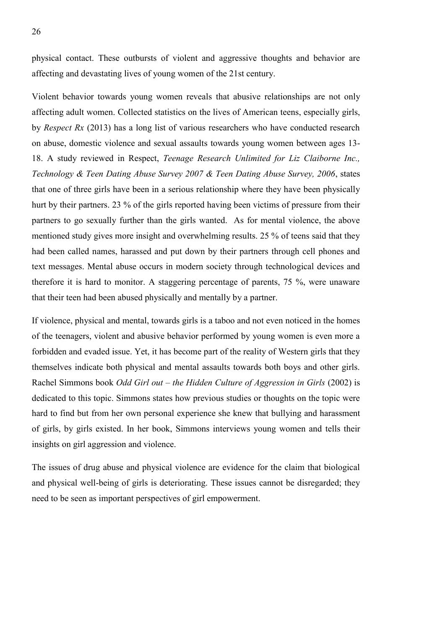physical contact. These outbursts of violent and aggressive thoughts and behavior are affecting and devastating lives of young women of the 21st century.

Violent behavior towards young women reveals that abusive relationships are not only affecting adult women. Collected statistics on the lives of American teens, especially girls, by *Respect Rx* (2013) has a long list of various researchers who have conducted research on abuse, domestic violence and sexual assaults towards young women between ages 13- 18. A study reviewed in Respect, *Teenage Research Unlimited for Liz Claiborne Inc., Technology & Teen Dating Abuse Survey 2007 & Teen Dating Abuse Survey, 2006*, states that one of three girls have been in a serious relationship where they have been physically hurt by their partners. 23 % of the girls reported having been victims of pressure from their partners to go sexually further than the girls wanted. As for mental violence, the above mentioned study gives more insight and overwhelming results. 25 % of teens said that they had been called names, harassed and put down by their partners through cell phones and text messages. Mental abuse occurs in modern society through technological devices and therefore it is hard to monitor. A staggering percentage of parents, 75 %, were unaware that their teen had been abused physically and mentally by a partner.

If violence, physical and mental, towards girls is a taboo and not even noticed in the homes of the teenagers, violent and abusive behavior performed by young women is even more a forbidden and evaded issue. Yet, it has become part of the reality of Western girls that they themselves indicate both physical and mental assaults towards both boys and other girls. Rachel Simmons book *Odd Girl out – the Hidden Culture of Aggression in Girls* (2002) is dedicated to this topic. Simmons states how previous studies or thoughts on the topic were hard to find but from her own personal experience she knew that bullying and harassment of girls, by girls existed. In her book, Simmons interviews young women and tells their insights on girl aggression and violence.

The issues of drug abuse and physical violence are evidence for the claim that biological and physical well-being of girls is deteriorating. These issues cannot be disregarded; they need to be seen as important perspectives of girl empowerment.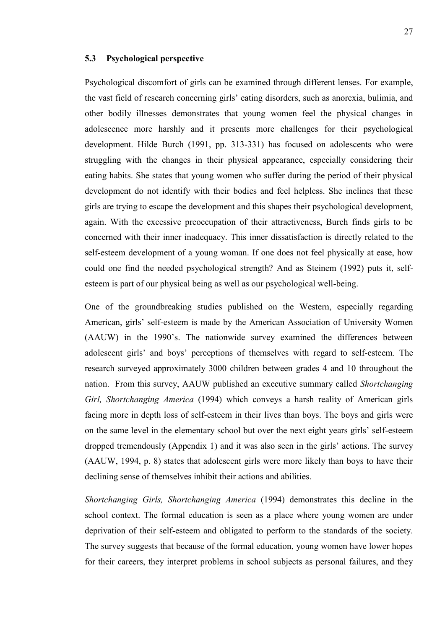#### **5.3 Psychological perspective**

Psychological discomfort of girls can be examined through different lenses. For example, the vast field of research concerning girls' eating disorders, such as anorexia, bulimia, and other bodily illnesses demonstrates that young women feel the physical changes in adolescence more harshly and it presents more challenges for their psychological development. Hilde Burch (1991, pp. 313-331) has focused on adolescents who were struggling with the changes in their physical appearance, especially considering their eating habits. She states that young women who suffer during the period of their physical development do not identify with their bodies and feel helpless. She inclines that these girls are trying to escape the development and this shapes their psychological development, again. With the excessive preoccupation of their attractiveness, Burch finds girls to be concerned with their inner inadequacy. This inner dissatisfaction is directly related to the self-esteem development of a young woman. If one does not feel physically at ease, how could one find the needed psychological strength? And as Steinem (1992) puts it, selfesteem is part of our physical being as well as our psychological well-being.

One of the groundbreaking studies published on the Western, especially regarding American, girls' self-esteem is made by the American Association of University Women (AAUW) in the 1990's. The nationwide survey examined the differences between adolescent girls' and boys' perceptions of themselves with regard to self-esteem. The research surveyed approximately 3000 children between grades 4 and 10 throughout the nation. From this survey, AAUW published an executive summary called *Shortchanging Girl, Shortchanging America* (1994) which conveys a harsh reality of American girls facing more in depth loss of self-esteem in their lives than boys. The boys and girls were on the same level in the elementary school but over the next eight years girls' self-esteem dropped tremendously (Appendix 1) and it was also seen in the girls' actions. The survey (AAUW, 1994, p. 8) states that adolescent girls were more likely than boys to have their declining sense of themselves inhibit their actions and abilities.

*Shortchanging Girls, Shortchanging America* (1994) demonstrates this decline in the school context. The formal education is seen as a place where young women are under deprivation of their self-esteem and obligated to perform to the standards of the society. The survey suggests that because of the formal education, young women have lower hopes for their careers, they interpret problems in school subjects as personal failures, and they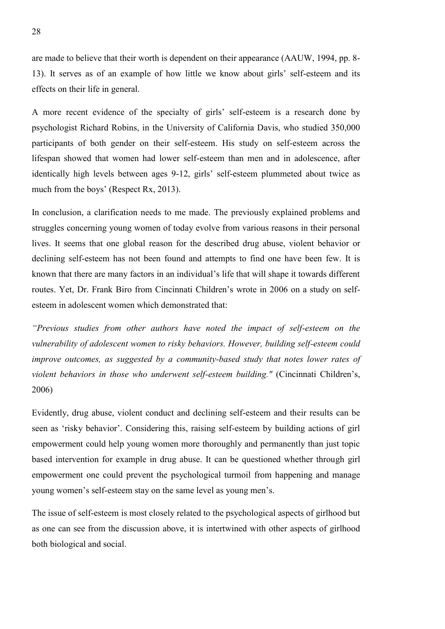are made to believe that their worth is dependent on their appearance (AAUW, 1994, pp. 8- 13). It serves as of an example of how little we know about girls' self-esteem and its effects on their life in general.

A more recent evidence of the specialty of girls' self-esteem is a research done by psychologist Richard Robins, in the University of California Davis, who studied 350,000 participants of both gender on their self-esteem. His study on self-esteem across the lifespan showed that women had lower self-esteem than men and in adolescence, after identically high levels between ages 9-12, girls' self-esteem plummeted about twice as much from the boys' (Respect Rx, 2013).

In conclusion, a clarification needs to me made. The previously explained problems and struggles concerning young women of today evolve from various reasons in their personal lives. It seems that one global reason for the described drug abuse, violent behavior or declining self-esteem has not been found and attempts to find one have been few. It is known that there are many factors in an individual's life that will shape it towards different routes. Yet, Dr. Frank Biro from Cincinnati Children's wrote in 2006 on a study on selfesteem in adolescent women which demonstrated that:

*"Previous studies from other authors have noted the impact of self-esteem on the vulnerability of adolescent women to risky behaviors. However, building self-esteem could improve outcomes, as suggested by a community-based study that notes lower rates of violent behaviors in those who underwent self-esteem building."* (Cincinnati Children's, 2006)

Evidently, drug abuse, violent conduct and declining self-esteem and their results can be seen as 'risky behavior'. Considering this, raising self-esteem by building actions of girl empowerment could help young women more thoroughly and permanently than just topic based intervention for example in drug abuse. It can be questioned whether through girl empowerment one could prevent the psychological turmoil from happening and manage young women's self-esteem stay on the same level as young men's.

The issue of self-esteem is most closely related to the psychological aspects of girlhood but as one can see from the discussion above, it is intertwined with other aspects of girlhood both biological and social.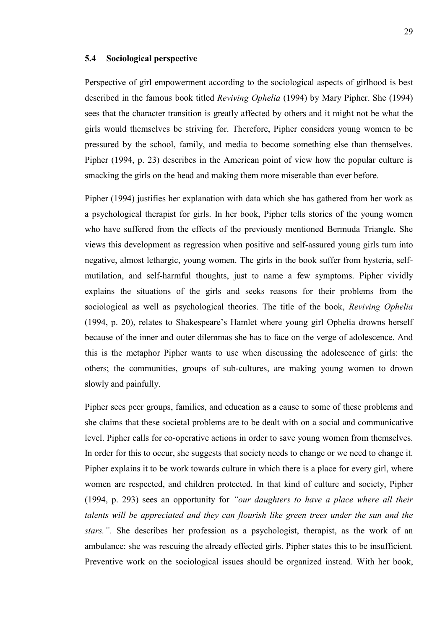#### **5.4 Sociological perspective**

Perspective of girl empowerment according to the sociological aspects of girlhood is best described in the famous book titled *Reviving Ophelia* (1994) by Mary Pipher. She (1994) sees that the character transition is greatly affected by others and it might not be what the girls would themselves be striving for. Therefore, Pipher considers young women to be pressured by the school, family, and media to become something else than themselves. Pipher (1994, p. 23) describes in the American point of view how the popular culture is smacking the girls on the head and making them more miserable than ever before.

Pipher (1994) justifies her explanation with data which she has gathered from her work as a psychological therapist for girls. In her book, Pipher tells stories of the young women who have suffered from the effects of the previously mentioned Bermuda Triangle. She views this development as regression when positive and self-assured young girls turn into negative, almost lethargic, young women. The girls in the book suffer from hysteria, selfmutilation, and self-harmful thoughts, just to name a few symptoms. Pipher vividly explains the situations of the girls and seeks reasons for their problems from the sociological as well as psychological theories. The title of the book, *Reviving Ophelia* (1994, p. 20), relates to Shakespeare's Hamlet where young girl Ophelia drowns herself because of the inner and outer dilemmas she has to face on the verge of adolescence. And this is the metaphor Pipher wants to use when discussing the adolescence of girls: the others; the communities, groups of sub-cultures, are making young women to drown slowly and painfully.

Pipher sees peer groups, families, and education as a cause to some of these problems and she claims that these societal problems are to be dealt with on a social and communicative level. Pipher calls for co-operative actions in order to save young women from themselves. In order for this to occur, she suggests that society needs to change or we need to change it. Pipher explains it to be work towards culture in which there is a place for every girl, where women are respected, and children protected. In that kind of culture and society, Pipher (1994, p. 293) sees an opportunity for *"our daughters to have a place where all their talents will be appreciated and they can flourish like green trees under the sun and the stars.".* She describes her profession as a psychologist, therapist, as the work of an ambulance: she was rescuing the already effected girls. Pipher states this to be insufficient. Preventive work on the sociological issues should be organized instead. With her book,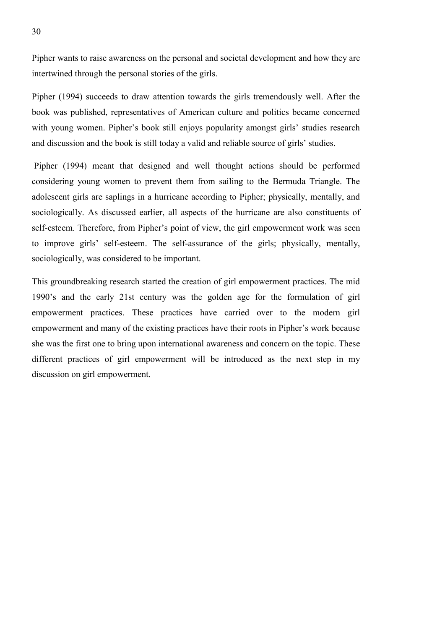Pipher wants to raise awareness on the personal and societal development and how they are intertwined through the personal stories of the girls.

Pipher (1994) succeeds to draw attention towards the girls tremendously well. After the book was published, representatives of American culture and politics became concerned with young women. Pipher's book still enjoys popularity amongst girls' studies research and discussion and the book is still today a valid and reliable source of girls' studies.

Pipher (1994) meant that designed and well thought actions should be performed considering young women to prevent them from sailing to the Bermuda Triangle. The adolescent girls are saplings in a hurricane according to Pipher; physically, mentally, and sociologically. As discussed earlier, all aspects of the hurricane are also constituents of self-esteem. Therefore, from Pipher's point of view, the girl empowerment work was seen to improve girls' self-esteem. The self-assurance of the girls; physically, mentally, sociologically, was considered to be important.

This groundbreaking research started the creation of girl empowerment practices. The mid 1990's and the early 21st century was the golden age for the formulation of girl empowerment practices. These practices have carried over to the modern girl empowerment and many of the existing practices have their roots in Pipher's work because she was the first one to bring upon international awareness and concern on the topic. These different practices of girl empowerment will be introduced as the next step in my discussion on girl empowerment.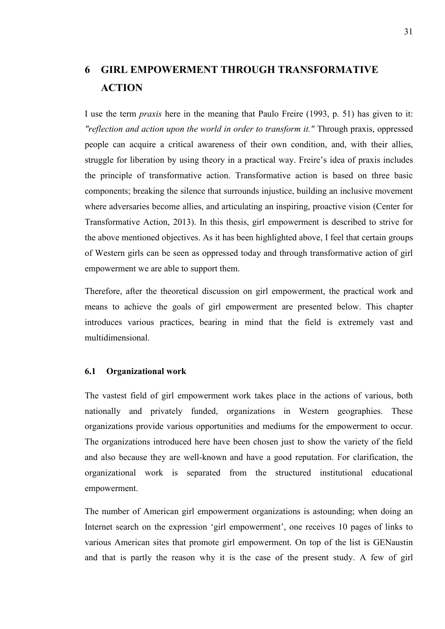# **6 GIRL EMPOWERMENT THROUGH TRANSFORMATIVE ACTION**

I use the term *praxis* here in the meaning that Paulo Freire (1993, p. 51) has given to it: *"reflection and action upon the world in order to transform it."* Through praxis, oppressed people can acquire a critical awareness of their own condition, and, with their allies, struggle for liberation by using theory in a practical way. Freire's idea of praxis includes the principle of transformative action. Transformative action is based on three basic components; breaking the silence that surrounds injustice, building an inclusive movement where adversaries become allies, and articulating an inspiring, proactive vision (Center for Transformative Action, 2013). In this thesis, girl empowerment is described to strive for the above mentioned objectives. As it has been highlighted above, I feel that certain groups of Western girls can be seen as oppressed today and through transformative action of girl empowerment we are able to support them.

Therefore, after the theoretical discussion on girl empowerment, the practical work and means to achieve the goals of girl empowerment are presented below. This chapter introduces various practices, bearing in mind that the field is extremely vast and multidimensional.

#### **6.1 Organizational work**

The vastest field of girl empowerment work takes place in the actions of various, both nationally and privately funded, organizations in Western geographies. These organizations provide various opportunities and mediums for the empowerment to occur. The organizations introduced here have been chosen just to show the variety of the field and also because they are well-known and have a good reputation. For clarification, the organizational work is separated from the structured institutional educational empowerment.

The number of American girl empowerment organizations is astounding; when doing an Internet search on the expression 'girl empowerment', one receives 10 pages of links to various American sites that promote girl empowerment. On top of the list is GENaustin and that is partly the reason why it is the case of the present study. A few of girl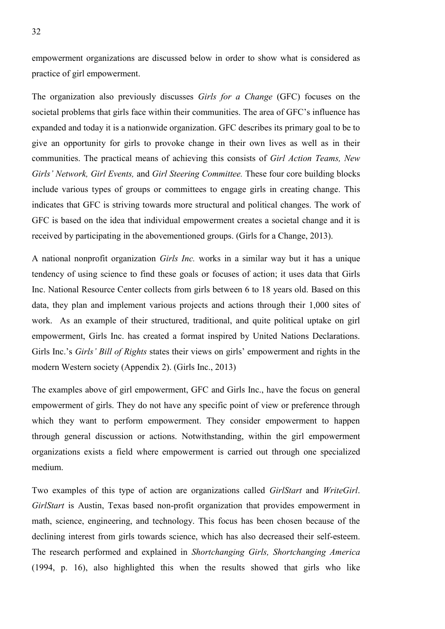empowerment organizations are discussed below in order to show what is considered as practice of girl empowerment.

The organization also previously discusses *Girls for a Change* (GFC) focuses on the societal problems that girls face within their communities. The area of GFC's influence has expanded and today it is a nationwide organization. GFC describes its primary goal to be to give an opportunity for girls to provoke change in their own lives as well as in their communities. The practical means of achieving this consists of *Girl Action Teams, New Girls' Network, Girl Events,* and *Girl Steering Committee.* These four core building blocks include various types of groups or committees to engage girls in creating change. This indicates that GFC is striving towards more structural and political changes. The work of GFC is based on the idea that individual empowerment creates a societal change and it is received by participating in the abovementioned groups. (Girls for a Change, 2013).

A national nonprofit organization *Girls Inc.* works in a similar way but it has a unique tendency of using science to find these goals or focuses of action; it uses data that Girls Inc. National Resource Center collects from girls between 6 to 18 years old. Based on this data, they plan and implement various projects and actions through their 1,000 sites of work. As an example of their structured, traditional, and quite political uptake on girl empowerment, Girls Inc. has created a format inspired by United Nations Declarations. Girls Inc.'s *Girls' Bill of Rights* states their views on girls' empowerment and rights in the modern Western society (Appendix 2). (Girls Inc., 2013)

The examples above of girl empowerment, GFC and Girls Inc., have the focus on general empowerment of girls. They do not have any specific point of view or preference through which they want to perform empowerment. They consider empowerment to happen through general discussion or actions. Notwithstanding, within the girl empowerment organizations exists a field where empowerment is carried out through one specialized medium.

Two examples of this type of action are organizations called *GirlStart* and *WriteGirl*. *GirlStart* is Austin, Texas based non-profit organization that provides empowerment in math, science, engineering, and technology. This focus has been chosen because of the declining interest from girls towards science, which has also decreased their self-esteem. The research performed and explained in *Shortchanging Girls, Shortchanging America* (1994, p. 16), also highlighted this when the results showed that girls who like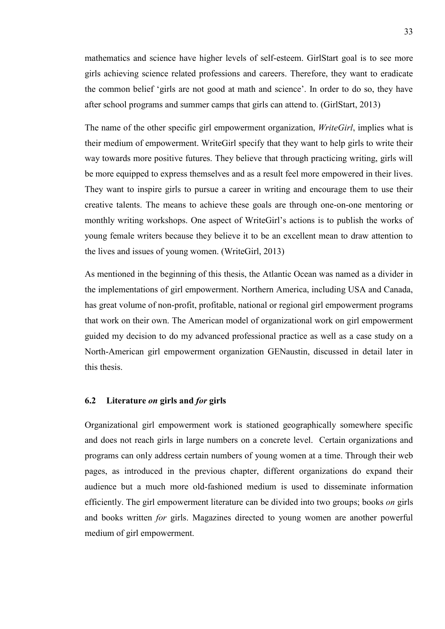mathematics and science have higher levels of self-esteem. GirlStart goal is to see more girls achieving science related professions and careers. Therefore, they want to eradicate the common belief 'girls are not good at math and science'. In order to do so, they have after school programs and summer camps that girls can attend to. (GirlStart, 2013)

The name of the other specific girl empowerment organization, *WriteGirl*, implies what is their medium of empowerment. WriteGirl specify that they want to help girls to write their way towards more positive futures. They believe that through practicing writing, girls will be more equipped to express themselves and as a result feel more empowered in their lives. They want to inspire girls to pursue a career in writing and encourage them to use their creative talents. The means to achieve these goals are through one-on-one mentoring or monthly writing workshops. One aspect of WriteGirl's actions is to publish the works of young female writers because they believe it to be an excellent mean to draw attention to the lives and issues of young women. (WriteGirl, 2013)

As mentioned in the beginning of this thesis, the Atlantic Ocean was named as a divider in the implementations of girl empowerment. Northern America, including USA and Canada, has great volume of non-profit, profitable, national or regional girl empowerment programs that work on their own. The American model of organizational work on girl empowerment guided my decision to do my advanced professional practice as well as a case study on a North-American girl empowerment organization GENaustin, discussed in detail later in this thesis.

#### **6.2 Literature** *on* **girls and** *for* **girls**

Organizational girl empowerment work is stationed geographically somewhere specific and does not reach girls in large numbers on a concrete level. Certain organizations and programs can only address certain numbers of young women at a time. Through their web pages, as introduced in the previous chapter, different organizations do expand their audience but a much more old-fashioned medium is used to disseminate information efficiently. The girl empowerment literature can be divided into two groups; books *on* girls and books written *for* girls. Magazines directed to young women are another powerful medium of girl empowerment.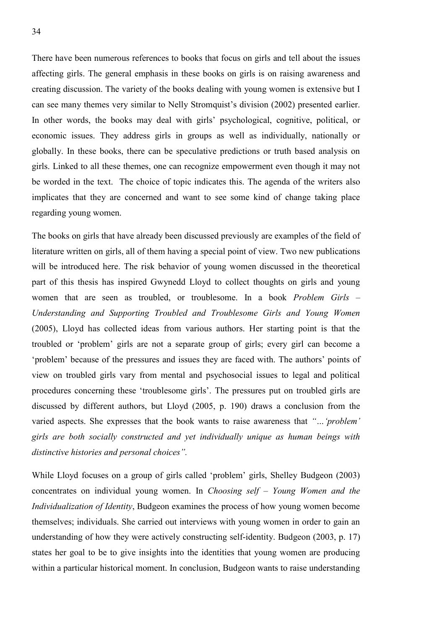There have been numerous references to books that focus on girls and tell about the issues affecting girls. The general emphasis in these books on girls is on raising awareness and creating discussion. The variety of the books dealing with young women is extensive but I can see many themes very similar to Nelly Stromquist's division (2002) presented earlier. In other words, the books may deal with girls' psychological, cognitive, political, or economic issues. They address girls in groups as well as individually, nationally or globally. In these books, there can be speculative predictions or truth based analysis on girls. Linked to all these themes, one can recognize empowerment even though it may not be worded in the text. The choice of topic indicates this. The agenda of the writers also implicates that they are concerned and want to see some kind of change taking place regarding young women.

The books on girls that have already been discussed previously are examples of the field of literature written on girls, all of them having a special point of view. Two new publications will be introduced here. The risk behavior of young women discussed in the theoretical part of this thesis has inspired Gwynedd Lloyd to collect thoughts on girls and young women that are seen as troubled, or troublesome. In a book *Problem Girls – Understanding and Supporting Troubled and Troublesome Girls and Young Women* (2005), Lloyd has collected ideas from various authors. Her starting point is that the troubled or 'problem' girls are not a separate group of girls; every girl can become a 'problem' because of the pressures and issues they are faced with. The authors' points of view on troubled girls vary from mental and psychosocial issues to legal and political procedures concerning these 'troublesome girls'. The pressures put on troubled girls are discussed by different authors, but Lloyd (2005, p. 190) draws a conclusion from the varied aspects. She expresses that the book wants to raise awareness that *"…'problem' girls are both socially constructed and yet individually unique as human beings with distinctive histories and personal choices".*

While Lloyd focuses on a group of girls called 'problem' girls, Shelley Budgeon (2003) concentrates on individual young women. In *Choosing self – Young Women and the Individualization of Identity*, Budgeon examines the process of how young women become themselves; individuals. She carried out interviews with young women in order to gain an understanding of how they were actively constructing self-identity. Budgeon (2003, p. 17) states her goal to be to give insights into the identities that young women are producing within a particular historical moment. In conclusion, Budgeon wants to raise understanding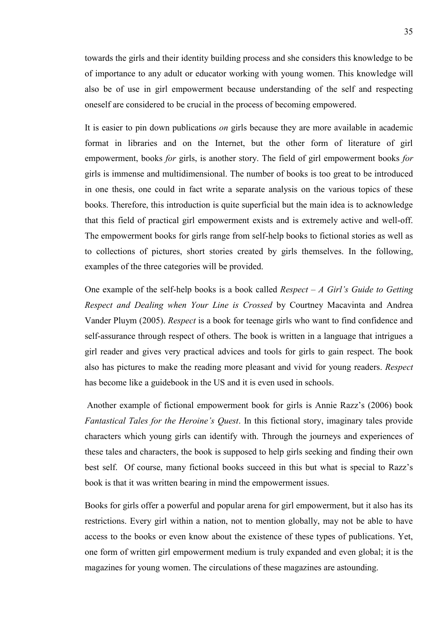towards the girls and their identity building process and she considers this knowledge to be of importance to any adult or educator working with young women. This knowledge will also be of use in girl empowerment because understanding of the self and respecting oneself are considered to be crucial in the process of becoming empowered.

It is easier to pin down publications *on* girls because they are more available in academic format in libraries and on the Internet, but the other form of literature of girl empowerment, books *for* girls, is another story. The field of girl empowerment books *for* girls is immense and multidimensional. The number of books is too great to be introduced in one thesis, one could in fact write a separate analysis on the various topics of these books. Therefore, this introduction is quite superficial but the main idea is to acknowledge that this field of practical girl empowerment exists and is extremely active and well-off. The empowerment books for girls range from self-help books to fictional stories as well as to collections of pictures, short stories created by girls themselves. In the following, examples of the three categories will be provided.

One example of the self-help books is a book called *Respect – A Girl's Guide to Getting Respect and Dealing when Your Line is Crossed* by Courtney Macavinta and Andrea Vander Pluym (2005). *Respect* is a book for teenage girls who want to find confidence and self-assurance through respect of others. The book is written in a language that intrigues a girl reader and gives very practical advices and tools for girls to gain respect. The book also has pictures to make the reading more pleasant and vivid for young readers. *Respect* has become like a guidebook in the US and it is even used in schools.

Another example of fictional empowerment book for girls is Annie Razz's (2006) book *Fantastical Tales for the Heroine's Quest*. In this fictional story, imaginary tales provide characters which young girls can identify with. Through the journeys and experiences of these tales and characters, the book is supposed to help girls seeking and finding their own best self. Of course, many fictional books succeed in this but what is special to Razz's book is that it was written bearing in mind the empowerment issues.

Books for girls offer a powerful and popular arena for girl empowerment, but it also has its restrictions. Every girl within a nation, not to mention globally, may not be able to have access to the books or even know about the existence of these types of publications. Yet, one form of written girl empowerment medium is truly expanded and even global; it is the magazines for young women. The circulations of these magazines are astounding.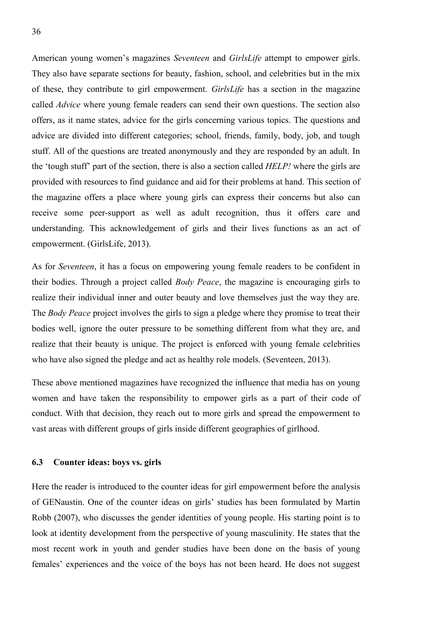American young women's magazines *Seventeen* and *GirlsLife* attempt to empower girls. They also have separate sections for beauty, fashion, school, and celebrities but in the mix of these, they contribute to girl empowerment. *GirlsLife* has a section in the magazine called *Advice* where young female readers can send their own questions. The section also offers, as it name states, advice for the girls concerning various topics. The questions and advice are divided into different categories; school, friends, family, body, job, and tough stuff. All of the questions are treated anonymously and they are responded by an adult. In the 'tough stuff' part of the section, there is also a section called *HELP!* where the girls are provided with resources to find guidance and aid for their problems at hand. This section of the magazine offers a place where young girls can express their concerns but also can receive some peer-support as well as adult recognition, thus it offers care and understanding. This acknowledgement of girls and their lives functions as an act of empowerment. (GirlsLife, 2013).

As for *Seventeen*, it has a focus on empowering young female readers to be confident in their bodies. Through a project called *Body Peace*, the magazine is encouraging girls to realize their individual inner and outer beauty and love themselves just the way they are. The *Body Peace* project involves the girls to sign a pledge where they promise to treat their bodies well, ignore the outer pressure to be something different from what they are, and realize that their beauty is unique. The project is enforced with young female celebrities who have also signed the pledge and act as healthy role models. (Seventeen, 2013).

These above mentioned magazines have recognized the influence that media has on young women and have taken the responsibility to empower girls as a part of their code of conduct. With that decision, they reach out to more girls and spread the empowerment to vast areas with different groups of girls inside different geographies of girlhood.

#### **6.3 Counter ideas: boys vs. girls**

Here the reader is introduced to the counter ideas for girl empowerment before the analysis of GENaustin. One of the counter ideas on girls' studies has been formulated by Martin Robb (2007), who discusses the gender identities of young people. His starting point is to look at identity development from the perspective of young masculinity. He states that the most recent work in youth and gender studies have been done on the basis of young females' experiences and the voice of the boys has not been heard. He does not suggest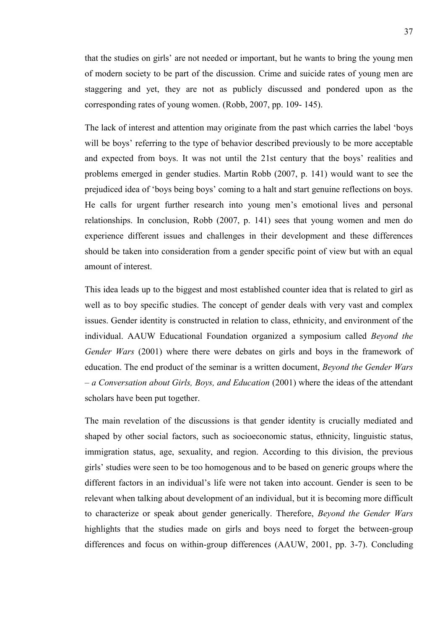that the studies on girls' are not needed or important, but he wants to bring the young men of modern society to be part of the discussion. Crime and suicide rates of young men are staggering and yet, they are not as publicly discussed and pondered upon as the corresponding rates of young women. (Robb, 2007, pp. 109- 145).

The lack of interest and attention may originate from the past which carries the label 'boys will be boys' referring to the type of behavior described previously to be more acceptable and expected from boys. It was not until the 21st century that the boys' realities and problems emerged in gender studies. Martin Robb (2007, p. 141) would want to see the prejudiced idea of 'boys being boys' coming to a halt and start genuine reflections on boys. He calls for urgent further research into young men's emotional lives and personal relationships. In conclusion, Robb (2007, p. 141) sees that young women and men do experience different issues and challenges in their development and these differences should be taken into consideration from a gender specific point of view but with an equal amount of interest.

This idea leads up to the biggest and most established counter idea that is related to girl as well as to boy specific studies. The concept of gender deals with very vast and complex issues. Gender identity is constructed in relation to class, ethnicity, and environment of the individual. AAUW Educational Foundation organized a symposium called *Beyond the Gender Wars* (2001) where there were debates on girls and boys in the framework of education. The end product of the seminar is a written document, *Beyond the Gender Wars – a Conversation about Girls, Boys, and Education* (2001) where the ideas of the attendant scholars have been put together.

The main revelation of the discussions is that gender identity is crucially mediated and shaped by other social factors, such as socioeconomic status, ethnicity, linguistic status, immigration status, age, sexuality, and region. According to this division, the previous girls' studies were seen to be too homogenous and to be based on generic groups where the different factors in an individual's life were not taken into account. Gender is seen to be relevant when talking about development of an individual, but it is becoming more difficult to characterize or speak about gender generically. Therefore, *Beyond the Gender Wars* highlights that the studies made on girls and boys need to forget the between-group differences and focus on within-group differences (AAUW, 2001, pp. 3-7). Concluding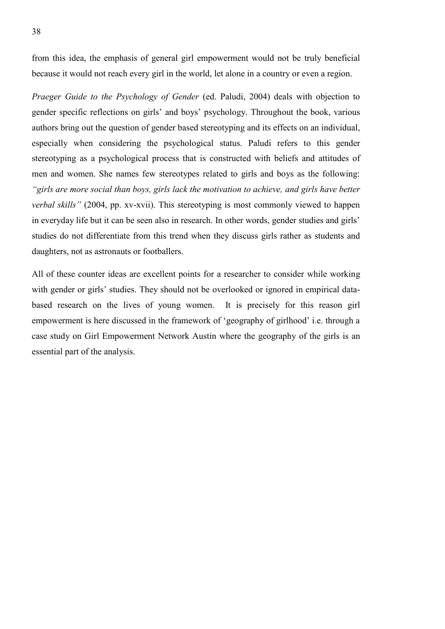from this idea, the emphasis of general girl empowerment would not be truly beneficial because it would not reach every girl in the world, let alone in a country or even a region.

*Praeger Guide to the Psychology of Gender* (ed. Paludi, 2004) deals with objection to gender specific reflections on girls' and boys' psychology. Throughout the book, various authors bring out the question of gender based stereotyping and its effects on an individual, especially when considering the psychological status. Paludi refers to this gender stereotyping as a psychological process that is constructed with beliefs and attitudes of men and women. She names few stereotypes related to girls and boys as the following: *"girls are more social than boys, girls lack the motivation to achieve, and girls have better verbal skills"* (2004, pp. xv-xvii). This stereotyping is most commonly viewed to happen in everyday life but it can be seen also in research. In other words, gender studies and girls' studies do not differentiate from this trend when they discuss girls rather as students and daughters, not as astronauts or footballers.

All of these counter ideas are excellent points for a researcher to consider while working with gender or girls' studies. They should not be overlooked or ignored in empirical databased research on the lives of young women. It is precisely for this reason girl empowerment is here discussed in the framework of 'geography of girlhood' i.e. through a case study on Girl Empowerment Network Austin where the geography of the girls is an essential part of the analysis.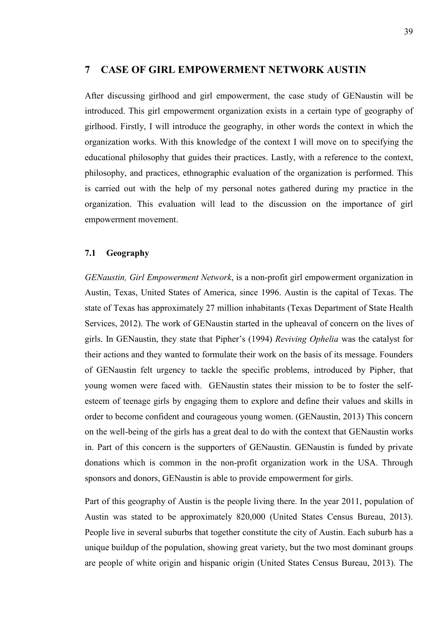# **7 CASE OF GIRL EMPOWERMENT NETWORK AUSTIN**

After discussing girlhood and girl empowerment, the case study of GENaustin will be introduced. This girl empowerment organization exists in a certain type of geography of girlhood. Firstly, I will introduce the geography, in other words the context in which the organization works. With this knowledge of the context I will move on to specifying the educational philosophy that guides their practices. Lastly, with a reference to the context, philosophy, and practices, ethnographic evaluation of the organization is performed. This is carried out with the help of my personal notes gathered during my practice in the organization. This evaluation will lead to the discussion on the importance of girl empowerment movement.

#### **7.1 Geography**

*GENaustin, Girl Empowerment Network*, is a non-profit girl empowerment organization in Austin, Texas, United States of America, since 1996. Austin is the capital of Texas. The state of Texas has approximately 27 million inhabitants (Texas Department of State Health Services, 2012). The work of GENaustin started in the upheaval of concern on the lives of girls. In GENaustin, they state that Pipher's (1994) *Reviving Ophelia* was the catalyst for their actions and they wanted to formulate their work on the basis of its message. Founders of GENaustin felt urgency to tackle the specific problems, introduced by Pipher, that young women were faced with. GENaustin states their mission to be to foster the selfesteem of teenage girls by engaging them to explore and define their values and skills in order to become confident and courageous young women. (GENaustin, 2013) This concern on the well-being of the girls has a great deal to do with the context that GENaustin works in. Part of this concern is the supporters of GENaustin. GENaustin is funded by private donations which is common in the non-profit organization work in the USA. Through sponsors and donors, GENaustin is able to provide empowerment for girls.

Part of this geography of Austin is the people living there. In the year 2011, population of Austin was stated to be approximately 820,000 (United States Census Bureau, 2013). People live in several suburbs that together constitute the city of Austin. Each suburb has a unique buildup of the population, showing great variety, but the two most dominant groups are people of white origin and hispanic origin (United States Census Bureau, 2013). The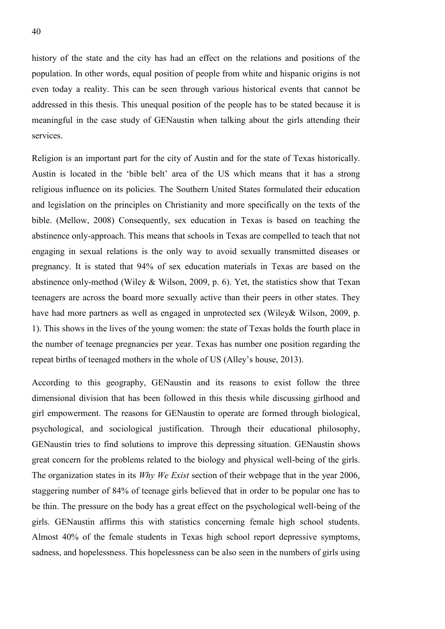history of the state and the city has had an effect on the relations and positions of the population. In other words, equal position of people from white and hispanic origins is not even today a reality. This can be seen through various historical events that cannot be addressed in this thesis. This unequal position of the people has to be stated because it is meaningful in the case study of GENaustin when talking about the girls attending their services.

Religion is an important part for the city of Austin and for the state of Texas historically. Austin is located in the 'bible belt' area of the US which means that it has a strong religious influence on its policies. The Southern United States formulated their education and legislation on the principles on Christianity and more specifically on the texts of the bible. (Mellow, 2008) Consequently, sex education in Texas is based on teaching the abstinence only-approach. This means that schools in Texas are compelled to teach that not engaging in sexual relations is the only way to avoid sexually transmitted diseases or pregnancy. It is stated that 94% of sex education materials in Texas are based on the abstinence only-method (Wiley  $& Wilson, 2009, p. 6$ ). Yet, the statistics show that Texan teenagers are across the board more sexually active than their peers in other states. They have had more partners as well as engaged in unprotected sex (Wiley& Wilson, 2009, p. 1). This shows in the lives of the young women: the state of Texas holds the fourth place in the number of teenage pregnancies per year. Texas has number one position regarding the repeat births of teenaged mothers in the whole of US (Alley's house, 2013).

According to this geography, GENaustin and its reasons to exist follow the three dimensional division that has been followed in this thesis while discussing girlhood and girl empowerment. The reasons for GENaustin to operate are formed through biological, psychological, and sociological justification. Through their educational philosophy, GENaustin tries to find solutions to improve this depressing situation. GENaustin shows great concern for the problems related to the biology and physical well-being of the girls. The organization states in its *Why We Exist* section of their webpage that in the year 2006, staggering number of 84% of teenage girls believed that in order to be popular one has to be thin. The pressure on the body has a great effect on the psychological well-being of the girls. GENaustin affirms this with statistics concerning female high school students. Almost 40% of the female students in Texas high school report depressive symptoms, sadness, and hopelessness. This hopelessness can be also seen in the numbers of girls using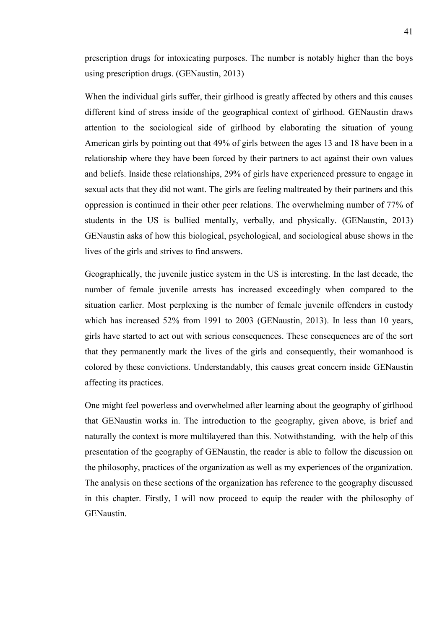prescription drugs for intoxicating purposes. The number is notably higher than the boys using prescription drugs. (GENaustin, 2013)

When the individual girls suffer, their girlhood is greatly affected by others and this causes different kind of stress inside of the geographical context of girlhood. GENaustin draws attention to the sociological side of girlhood by elaborating the situation of young American girls by pointing out that 49% of girls between the ages 13 and 18 have been in a relationship where they have been forced by their partners to act against their own values and beliefs. Inside these relationships, 29% of girls have experienced pressure to engage in sexual acts that they did not want. The girls are feeling maltreated by their partners and this oppression is continued in their other peer relations. The overwhelming number of 77% of students in the US is bullied mentally, verbally, and physically. (GENaustin, 2013) GENaustin asks of how this biological, psychological, and sociological abuse shows in the lives of the girls and strives to find answers.

Geographically, the juvenile justice system in the US is interesting. In the last decade, the number of female juvenile arrests has increased exceedingly when compared to the situation earlier. Most perplexing is the number of female juvenile offenders in custody which has increased 52% from 1991 to 2003 (GENaustin, 2013). In less than 10 years, girls have started to act out with serious consequences. These consequences are of the sort that they permanently mark the lives of the girls and consequently, their womanhood is colored by these convictions. Understandably, this causes great concern inside GENaustin affecting its practices.

One might feel powerless and overwhelmed after learning about the geography of girlhood that GENaustin works in. The introduction to the geography, given above, is brief and naturally the context is more multilayered than this. Notwithstanding, with the help of this presentation of the geography of GENaustin, the reader is able to follow the discussion on the philosophy, practices of the organization as well as my experiences of the organization. The analysis on these sections of the organization has reference to the geography discussed in this chapter. Firstly, I will now proceed to equip the reader with the philosophy of GENaustin.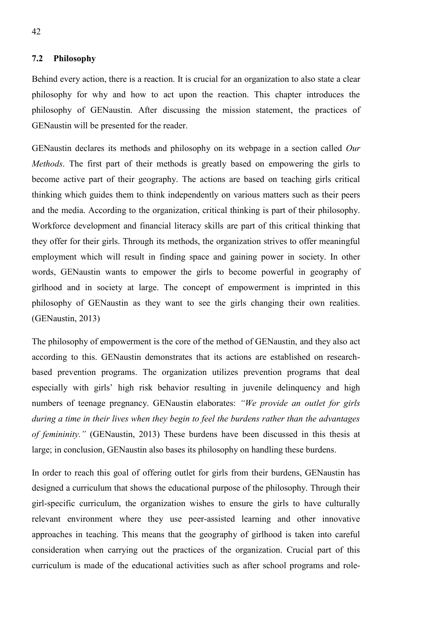#### **7.2 Philosophy**

Behind every action, there is a reaction. It is crucial for an organization to also state a clear philosophy for why and how to act upon the reaction. This chapter introduces the philosophy of GENaustin. After discussing the mission statement, the practices of GENaustin will be presented for the reader.

GENaustin declares its methods and philosophy on its webpage in a section called *Our Methods*. The first part of their methods is greatly based on empowering the girls to become active part of their geography. The actions are based on teaching girls critical thinking which guides them to think independently on various matters such as their peers and the media. According to the organization, critical thinking is part of their philosophy. Workforce development and financial literacy skills are part of this critical thinking that they offer for their girls. Through its methods, the organization strives to offer meaningful employment which will result in finding space and gaining power in society. In other words, GENaustin wants to empower the girls to become powerful in geography of girlhood and in society at large. The concept of empowerment is imprinted in this philosophy of GENaustin as they want to see the girls changing their own realities. (GENaustin, 2013)

The philosophy of empowerment is the core of the method of GENaustin, and they also act according to this. GENaustin demonstrates that its actions are established on researchbased prevention programs. The organization utilizes prevention programs that deal especially with girls' high risk behavior resulting in juvenile delinquency and high numbers of teenage pregnancy. GENaustin elaborates: *"We provide an outlet for girls during a time in their lives when they begin to feel the burdens rather than the advantages of femininity."* (GENaustin, 2013) These burdens have been discussed in this thesis at large; in conclusion, GENaustin also bases its philosophy on handling these burdens.

In order to reach this goal of offering outlet for girls from their burdens, GENaustin has designed a curriculum that shows the educational purpose of the philosophy. Through their girl-specific curriculum, the organization wishes to ensure the girls to have culturally relevant environment where they use peer-assisted learning and other innovative approaches in teaching. This means that the geography of girlhood is taken into careful consideration when carrying out the practices of the organization. Crucial part of this curriculum is made of the educational activities such as after school programs and role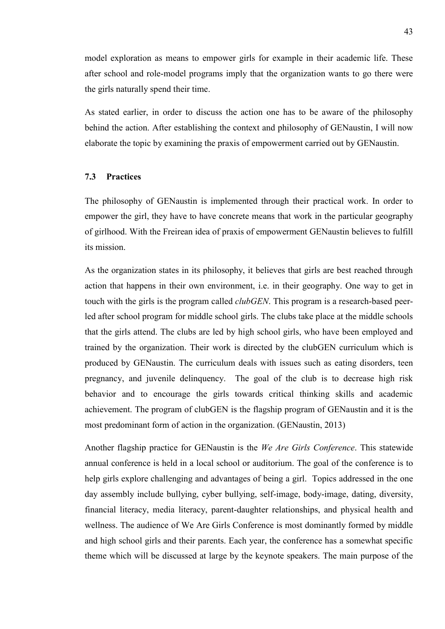model exploration as means to empower girls for example in their academic life. These after school and role-model programs imply that the organization wants to go there were the girls naturally spend their time.

As stated earlier, in order to discuss the action one has to be aware of the philosophy behind the action. After establishing the context and philosophy of GENaustin, I will now elaborate the topic by examining the praxis of empowerment carried out by GENaustin.

# **7.3 Practices**

The philosophy of GENaustin is implemented through their practical work. In order to empower the girl, they have to have concrete means that work in the particular geography of girlhood. With the Freirean idea of praxis of empowerment GENaustin believes to fulfill its mission.

As the organization states in its philosophy, it believes that girls are best reached through action that happens in their own environment, i.e. in their geography. One way to get in touch with the girls is the program called *clubGEN*. This program is a research-based peerled after school program for middle school girls. The clubs take place at the middle schools that the girls attend. The clubs are led by high school girls, who have been employed and trained by the organization. Their work is directed by the clubGEN curriculum which is produced by GENaustin. The curriculum deals with issues such as eating disorders, teen pregnancy, and juvenile delinquency. The goal of the club is to decrease high risk behavior and to encourage the girls towards critical thinking skills and academic achievement. The program of clubGEN is the flagship program of GENaustin and it is the most predominant form of action in the organization. (GENaustin, 2013)

Another flagship practice for GENaustin is the *We Are Girls Conference*. This statewide annual conference is held in a local school or auditorium. The goal of the conference is to help girls explore challenging and advantages of being a girl. Topics addressed in the one day assembly include bullying, cyber bullying, self-image, body-image, dating, diversity, financial literacy, media literacy, parent-daughter relationships, and physical health and wellness. The audience of We Are Girls Conference is most dominantly formed by middle and high school girls and their parents. Each year, the conference has a somewhat specific theme which will be discussed at large by the keynote speakers. The main purpose of the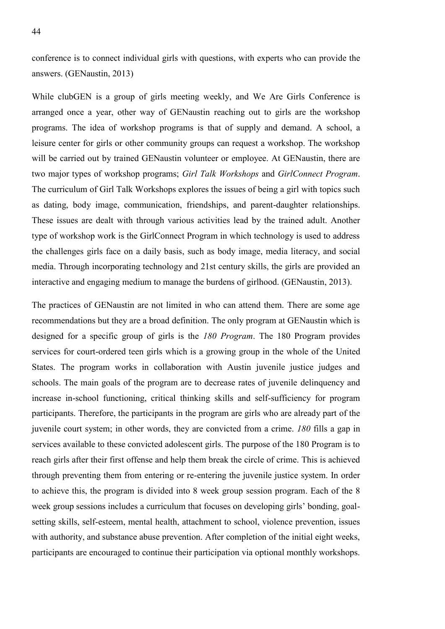conference is to connect individual girls with questions, with experts who can provide the answers. (GENaustin, 2013)

While clubGEN is a group of girls meeting weekly, and We Are Girls Conference is arranged once a year, other way of GENaustin reaching out to girls are the workshop programs. The idea of workshop programs is that of supply and demand. A school, a leisure center for girls or other community groups can request a workshop. The workshop will be carried out by trained GENaustin volunteer or employee. At GENaustin, there are two major types of workshop programs; *Girl Talk Workshops* and *GirlConnect Program*. The curriculum of Girl Talk Workshops explores the issues of being a girl with topics such as dating, body image, communication, friendships, and parent-daughter relationships. These issues are dealt with through various activities lead by the trained adult. Another type of workshop work is the GirlConnect Program in which technology is used to address the challenges girls face on a daily basis, such as body image, media literacy, and social media. Through incorporating technology and 21st century skills, the girls are provided an interactive and engaging medium to manage the burdens of girlhood. (GENaustin, 2013).

The practices of GENaustin are not limited in who can attend them. There are some age recommendations but they are a broad definition. The only program at GENaustin which is designed for a specific group of girls is the *180 Program*. The 180 Program provides services for court-ordered teen girls which is a growing group in the whole of the United States. The program works in collaboration with Austin juvenile justice judges and schools. The main goals of the program are to decrease rates of juvenile delinquency and increase in-school functioning, critical thinking skills and self-sufficiency for program participants. Therefore, the participants in the program are girls who are already part of the juvenile court system; in other words, they are convicted from a crime. *180* fills a gap in services available to these convicted adolescent girls. The purpose of the 180 Program is to reach girls after their first offense and help them break the circle of crime. This is achieved through preventing them from entering or re-entering the juvenile justice system. In order to achieve this, the program is divided into 8 week group session program. Each of the 8 week group sessions includes a curriculum that focuses on developing girls' bonding, goalsetting skills, self-esteem, mental health, attachment to school, violence prevention, issues with authority, and substance abuse prevention. After completion of the initial eight weeks, participants are encouraged to continue their participation via optional monthly workshops.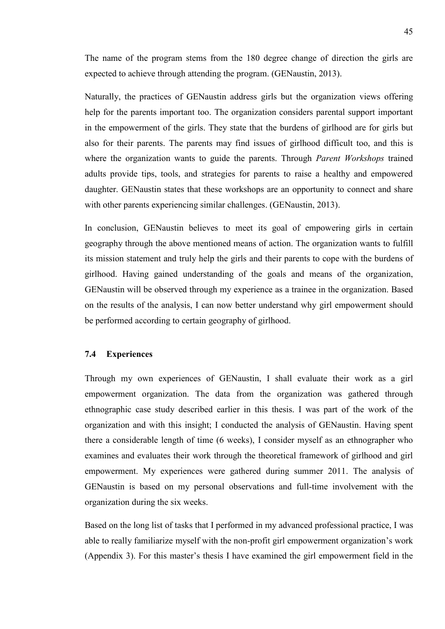The name of the program stems from the 180 degree change of direction the girls are expected to achieve through attending the program. (GENaustin, 2013).

Naturally, the practices of GENaustin address girls but the organization views offering help for the parents important too. The organization considers parental support important in the empowerment of the girls. They state that the burdens of girlhood are for girls but also for their parents. The parents may find issues of girlhood difficult too, and this is where the organization wants to guide the parents. Through *Parent Workshops* trained adults provide tips, tools, and strategies for parents to raise a healthy and empowered daughter. GENaustin states that these workshops are an opportunity to connect and share with other parents experiencing similar challenges. *(GENaustin, 2013)*.

In conclusion, GENaustin believes to meet its goal of empowering girls in certain geography through the above mentioned means of action. The organization wants to fulfill its mission statement and truly help the girls and their parents to cope with the burdens of girlhood. Having gained understanding of the goals and means of the organization, GENaustin will be observed through my experience as a trainee in the organization. Based on the results of the analysis, I can now better understand why girl empowerment should be performed according to certain geography of girlhood.

#### **7.4 Experiences**

Through my own experiences of GENaustin, I shall evaluate their work as a girl empowerment organization. The data from the organization was gathered through ethnographic case study described earlier in this thesis. I was part of the work of the organization and with this insight; I conducted the analysis of GENaustin. Having spent there a considerable length of time (6 weeks), I consider myself as an ethnographer who examines and evaluates their work through the theoretical framework of girlhood and girl empowerment. My experiences were gathered during summer 2011. The analysis of GENaustin is based on my personal observations and full-time involvement with the organization during the six weeks.

Based on the long list of tasks that I performed in my advanced professional practice, I was able to really familiarize myself with the non-profit girl empowerment organization's work (Appendix 3). For this master's thesis I have examined the girl empowerment field in the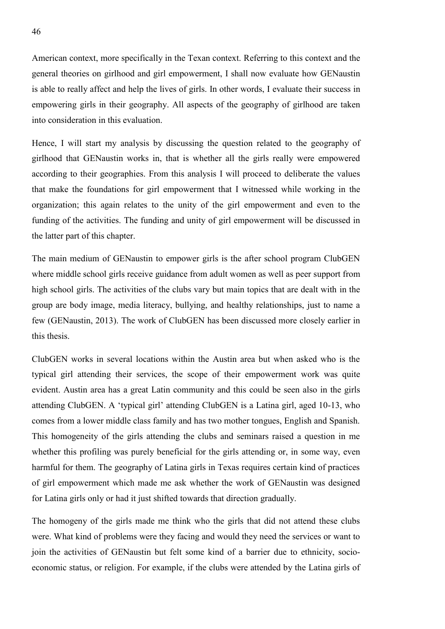American context, more specifically in the Texan context. Referring to this context and the general theories on girlhood and girl empowerment, I shall now evaluate how GENaustin is able to really affect and help the lives of girls. In other words, I evaluate their success in empowering girls in their geography. All aspects of the geography of girlhood are taken into consideration in this evaluation.

Hence, I will start my analysis by discussing the question related to the geography of girlhood that GENaustin works in, that is whether all the girls really were empowered according to their geographies. From this analysis I will proceed to deliberate the values that make the foundations for girl empowerment that I witnessed while working in the organization; this again relates to the unity of the girl empowerment and even to the funding of the activities. The funding and unity of girl empowerment will be discussed in the latter part of this chapter.

The main medium of GENaustin to empower girls is the after school program ClubGEN where middle school girls receive guidance from adult women as well as peer support from high school girls. The activities of the clubs vary but main topics that are dealt with in the group are body image, media literacy, bullying, and healthy relationships, just to name a few (GENaustin, 2013). The work of ClubGEN has been discussed more closely earlier in this thesis.

ClubGEN works in several locations within the Austin area but when asked who is the typical girl attending their services, the scope of their empowerment work was quite evident. Austin area has a great Latin community and this could be seen also in the girls attending ClubGEN. A 'typical girl' attending ClubGEN is a Latina girl, aged 10-13, who comes from a lower middle class family and has two mother tongues, English and Spanish. This homogeneity of the girls attending the clubs and seminars raised a question in me whether this profiling was purely beneficial for the girls attending or, in some way, even harmful for them. The geography of Latina girls in Texas requires certain kind of practices of girl empowerment which made me ask whether the work of GENaustin was designed for Latina girls only or had it just shifted towards that direction gradually.

The homogeny of the girls made me think who the girls that did not attend these clubs were. What kind of problems were they facing and would they need the services or want to join the activities of GENaustin but felt some kind of a barrier due to ethnicity, socioeconomic status, or religion. For example, if the clubs were attended by the Latina girls of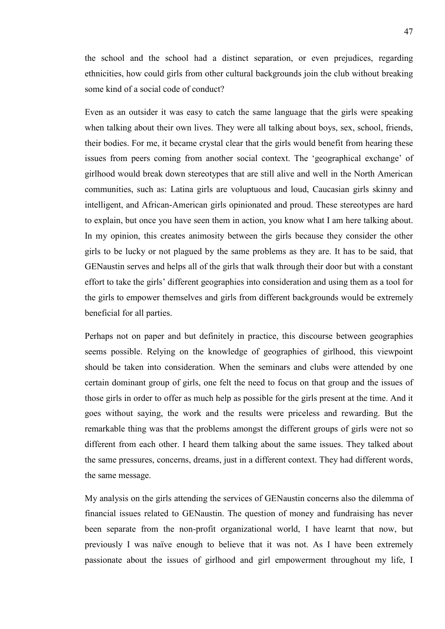the school and the school had a distinct separation, or even prejudices, regarding ethnicities, how could girls from other cultural backgrounds join the club without breaking some kind of a social code of conduct?

Even as an outsider it was easy to catch the same language that the girls were speaking when talking about their own lives. They were all talking about boys, sex, school, friends, their bodies. For me, it became crystal clear that the girls would benefit from hearing these issues from peers coming from another social context. The 'geographical exchange' of girlhood would break down stereotypes that are still alive and well in the North American communities, such as: Latina girls are voluptuous and loud, Caucasian girls skinny and intelligent, and African-American girls opinionated and proud. These stereotypes are hard to explain, but once you have seen them in action, you know what I am here talking about. In my opinion, this creates animosity between the girls because they consider the other girls to be lucky or not plagued by the same problems as they are. It has to be said, that GENaustin serves and helps all of the girls that walk through their door but with a constant effort to take the girls' different geographies into consideration and using them as a tool for the girls to empower themselves and girls from different backgrounds would be extremely beneficial for all parties.

Perhaps not on paper and but definitely in practice, this discourse between geographies seems possible. Relying on the knowledge of geographies of girlhood, this viewpoint should be taken into consideration. When the seminars and clubs were attended by one certain dominant group of girls, one felt the need to focus on that group and the issues of those girls in order to offer as much help as possible for the girls present at the time. And it goes without saying, the work and the results were priceless and rewarding. But the remarkable thing was that the problems amongst the different groups of girls were not so different from each other. I heard them talking about the same issues. They talked about the same pressures, concerns, dreams, just in a different context. They had different words, the same message.

My analysis on the girls attending the services of GENaustin concerns also the dilemma of financial issues related to GENaustin. The question of money and fundraising has never been separate from the non-profit organizational world, I have learnt that now, but previously I was naïve enough to believe that it was not. As I have been extremely passionate about the issues of girlhood and girl empowerment throughout my life, I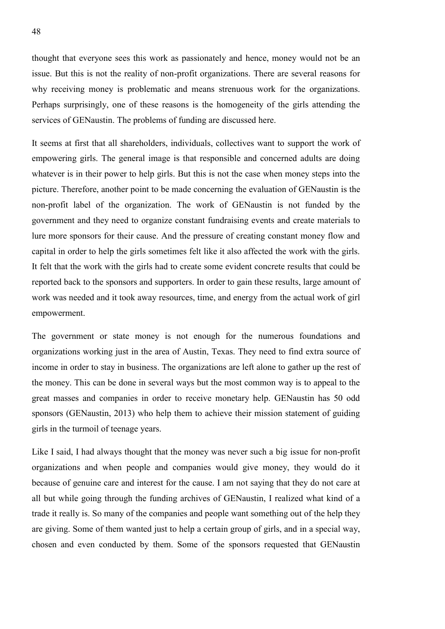thought that everyone sees this work as passionately and hence, money would not be an issue. But this is not the reality of non-profit organizations. There are several reasons for why receiving money is problematic and means strenuous work for the organizations. Perhaps surprisingly, one of these reasons is the homogeneity of the girls attending the services of GENaustin. The problems of funding are discussed here.

It seems at first that all shareholders, individuals, collectives want to support the work of empowering girls. The general image is that responsible and concerned adults are doing whatever is in their power to help girls. But this is not the case when money steps into the picture. Therefore, another point to be made concerning the evaluation of GENaustin is the non-profit label of the organization. The work of GENaustin is not funded by the government and they need to organize constant fundraising events and create materials to lure more sponsors for their cause. And the pressure of creating constant money flow and capital in order to help the girls sometimes felt like it also affected the work with the girls. It felt that the work with the girls had to create some evident concrete results that could be reported back to the sponsors and supporters. In order to gain these results, large amount of work was needed and it took away resources, time, and energy from the actual work of girl empowerment.

The government or state money is not enough for the numerous foundations and organizations working just in the area of Austin, Texas. They need to find extra source of income in order to stay in business. The organizations are left alone to gather up the rest of the money. This can be done in several ways but the most common way is to appeal to the great masses and companies in order to receive monetary help. GENaustin has 50 odd sponsors (GENaustin, 2013) who help them to achieve their mission statement of guiding girls in the turmoil of teenage years.

Like I said, I had always thought that the money was never such a big issue for non-profit organizations and when people and companies would give money, they would do it because of genuine care and interest for the cause. I am not saying that they do not care at all but while going through the funding archives of GENaustin, I realized what kind of a trade it really is. So many of the companies and people want something out of the help they are giving. Some of them wanted just to help a certain group of girls, and in a special way, chosen and even conducted by them. Some of the sponsors requested that GENaustin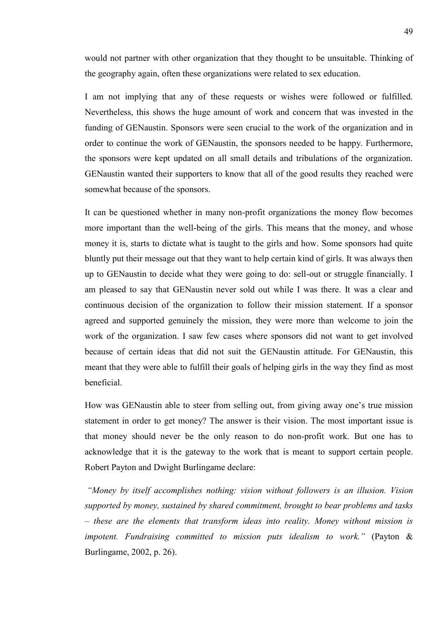would not partner with other organization that they thought to be unsuitable. Thinking of the geography again, often these organizations were related to sex education.

I am not implying that any of these requests or wishes were followed or fulfilled. Nevertheless, this shows the huge amount of work and concern that was invested in the funding of GENaustin. Sponsors were seen crucial to the work of the organization and in order to continue the work of GENaustin, the sponsors needed to be happy. Furthermore, the sponsors were kept updated on all small details and tribulations of the organization. GENaustin wanted their supporters to know that all of the good results they reached were somewhat because of the sponsors.

It can be questioned whether in many non-profit organizations the money flow becomes more important than the well-being of the girls. This means that the money, and whose money it is, starts to dictate what is taught to the girls and how. Some sponsors had quite bluntly put their message out that they want to help certain kind of girls. It was always then up to GENaustin to decide what they were going to do: sell-out or struggle financially. I am pleased to say that GENaustin never sold out while I was there. It was a clear and continuous decision of the organization to follow their mission statement. If a sponsor agreed and supported genuinely the mission, they were more than welcome to join the work of the organization. I saw few cases where sponsors did not want to get involved because of certain ideas that did not suit the GENaustin attitude. For GENaustin, this meant that they were able to fulfill their goals of helping girls in the way they find as most beneficial.

How was GENaustin able to steer from selling out, from giving away one's true mission statement in order to get money? The answer is their vision. The most important issue is that money should never be the only reason to do non-profit work. But one has to acknowledge that it is the gateway to the work that is meant to support certain people. Robert Payton and Dwight Burlingame declare:

*"Money by itself accomplishes nothing: vision without followers is an illusion. Vision supported by money, sustained by shared commitment, brought to bear problems and tasks – these are the elements that transform ideas into reality. Money without mission is impotent. Fundraising committed to mission puts idealism to work."* (Payton & Burlingame, 2002, p. 26).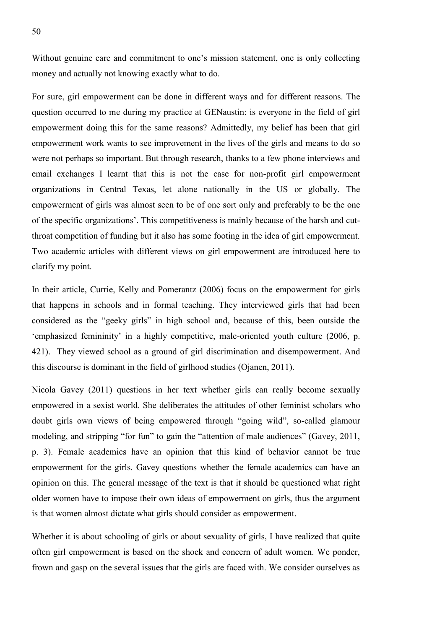Without genuine care and commitment to one's mission statement, one is only collecting money and actually not knowing exactly what to do.

For sure, girl empowerment can be done in different ways and for different reasons. The question occurred to me during my practice at GENaustin: is everyone in the field of girl empowerment doing this for the same reasons? Admittedly, my belief has been that girl empowerment work wants to see improvement in the lives of the girls and means to do so were not perhaps so important. But through research, thanks to a few phone interviews and email exchanges I learnt that this is not the case for non-profit girl empowerment organizations in Central Texas, let alone nationally in the US or globally. The empowerment of girls was almost seen to be of one sort only and preferably to be the one of the specific organizations'. This competitiveness is mainly because of the harsh and cutthroat competition of funding but it also has some footing in the idea of girl empowerment. Two academic articles with different views on girl empowerment are introduced here to clarify my point.

In their article, Currie, Kelly and Pomerantz (2006) focus on the empowerment for girls that happens in schools and in formal teaching. They interviewed girls that had been considered as the "geeky girls" in high school and, because of this, been outside the 'emphasized femininity' in a highly competitive, male-oriented youth culture (2006, p. 421). They viewed school as a ground of girl discrimination and disempowerment. And this discourse is dominant in the field of girlhood studies (Ojanen, 2011).

Nicola Gavey (2011) questions in her text whether girls can really become sexually empowered in a sexist world. She deliberates the attitudes of other feminist scholars who doubt girls own views of being empowered through "going wild", so-called glamour modeling, and stripping "for fun" to gain the "attention of male audiences" (Gavey, 2011, p. 3). Female academics have an opinion that this kind of behavior cannot be true empowerment for the girls. Gavey questions whether the female academics can have an opinion on this. The general message of the text is that it should be questioned what right older women have to impose their own ideas of empowerment on girls, thus the argument is that women almost dictate what girls should consider as empowerment.

Whether it is about schooling of girls or about sexuality of girls, I have realized that quite often girl empowerment is based on the shock and concern of adult women. We ponder, frown and gasp on the several issues that the girls are faced with. We consider ourselves as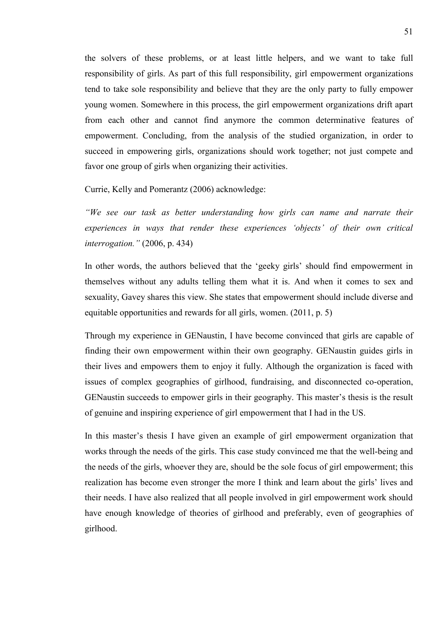the solvers of these problems, or at least little helpers, and we want to take full responsibility of girls. As part of this full responsibility, girl empowerment organizations tend to take sole responsibility and believe that they are the only party to fully empower young women. Somewhere in this process, the girl empowerment organizations drift apart from each other and cannot find anymore the common determinative features of empowerment. Concluding, from the analysis of the studied organization, in order to succeed in empowering girls, organizations should work together; not just compete and favor one group of girls when organizing their activities.

Currie, Kelly and Pomerantz (2006) acknowledge:

*"We see our task as better understanding how girls can name and narrate their experiences in ways that render these experiences 'objects' of their own critical interrogation."* (2006, p. 434)

In other words, the authors believed that the 'geeky girls' should find empowerment in themselves without any adults telling them what it is. And when it comes to sex and sexuality, Gavey shares this view. She states that empowerment should include diverse and equitable opportunities and rewards for all girls, women. (2011, p. 5)

Through my experience in GENaustin, I have become convinced that girls are capable of finding their own empowerment within their own geography. GENaustin guides girls in their lives and empowers them to enjoy it fully. Although the organization is faced with issues of complex geographies of girlhood, fundraising, and disconnected co-operation, GENaustin succeeds to empower girls in their geography. This master's thesis is the result of genuine and inspiring experience of girl empowerment that I had in the US.

In this master's thesis I have given an example of girl empowerment organization that works through the needs of the girls. This case study convinced me that the well-being and the needs of the girls, whoever they are, should be the sole focus of girl empowerment; this realization has become even stronger the more I think and learn about the girls' lives and their needs. I have also realized that all people involved in girl empowerment work should have enough knowledge of theories of girlhood and preferably, even of geographies of girlhood.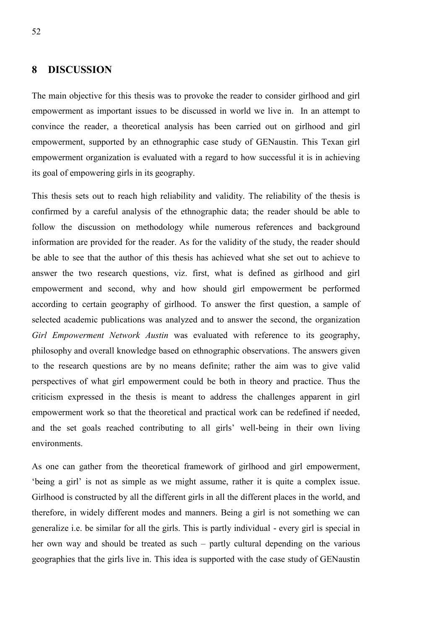# **8 DISCUSSION**

The main objective for this thesis was to provoke the reader to consider girlhood and girl empowerment as important issues to be discussed in world we live in. In an attempt to convince the reader, a theoretical analysis has been carried out on girlhood and girl empowerment, supported by an ethnographic case study of GENaustin. This Texan girl empowerment organization is evaluated with a regard to how successful it is in achieving its goal of empowering girls in its geography.

This thesis sets out to reach high reliability and validity. The reliability of the thesis is confirmed by a careful analysis of the ethnographic data; the reader should be able to follow the discussion on methodology while numerous references and background information are provided for the reader. As for the validity of the study, the reader should be able to see that the author of this thesis has achieved what she set out to achieve to answer the two research questions, viz. first, what is defined as girlhood and girl empowerment and second, why and how should girl empowerment be performed according to certain geography of girlhood. To answer the first question, a sample of selected academic publications was analyzed and to answer the second, the organization *Girl Empowerment Network Austin* was evaluated with reference to its geography, philosophy and overall knowledge based on ethnographic observations. The answers given to the research questions are by no means definite; rather the aim was to give valid perspectives of what girl empowerment could be both in theory and practice. Thus the criticism expressed in the thesis is meant to address the challenges apparent in girl empowerment work so that the theoretical and practical work can be redefined if needed, and the set goals reached contributing to all girls' well-being in their own living environments.

As one can gather from the theoretical framework of girlhood and girl empowerment, 'being a girl' is not as simple as we might assume, rather it is quite a complex issue. Girlhood is constructed by all the different girls in all the different places in the world, and therefore, in widely different modes and manners. Being a girl is not something we can generalize i.e. be similar for all the girls. This is partly individual - every girl is special in her own way and should be treated as such – partly cultural depending on the various geographies that the girls live in. This idea is supported with the case study of GENaustin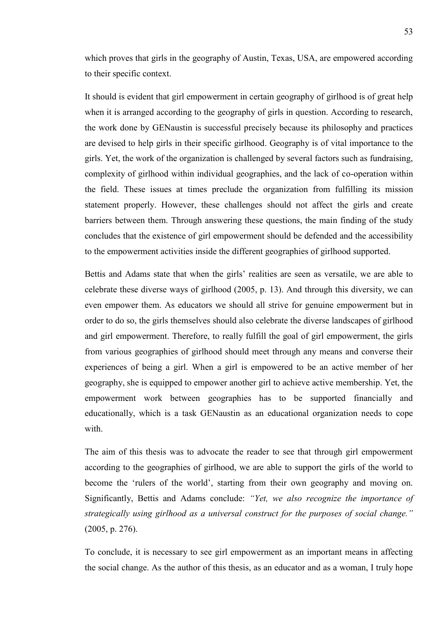which proves that girls in the geography of Austin, Texas, USA, are empowered according to their specific context.

It should is evident that girl empowerment in certain geography of girlhood is of great help when it is arranged according to the geography of girls in question. According to research, the work done by GENaustin is successful precisely because its philosophy and practices are devised to help girls in their specific girlhood. Geography is of vital importance to the girls. Yet, the work of the organization is challenged by several factors such as fundraising, complexity of girlhood within individual geographies, and the lack of co-operation within the field. These issues at times preclude the organization from fulfilling its mission statement properly. However, these challenges should not affect the girls and create barriers between them. Through answering these questions, the main finding of the study concludes that the existence of girl empowerment should be defended and the accessibility to the empowerment activities inside the different geographies of girlhood supported.

Bettis and Adams state that when the girls' realities are seen as versatile, we are able to celebrate these diverse ways of girlhood (2005, p. 13). And through this diversity, we can even empower them. As educators we should all strive for genuine empowerment but in order to do so, the girls themselves should also celebrate the diverse landscapes of girlhood and girl empowerment. Therefore, to really fulfill the goal of girl empowerment, the girls from various geographies of girlhood should meet through any means and converse their experiences of being a girl. When a girl is empowered to be an active member of her geography, she is equipped to empower another girl to achieve active membership. Yet, the empowerment work between geographies has to be supported financially and educationally, which is a task GENaustin as an educational organization needs to cope with.

The aim of this thesis was to advocate the reader to see that through girl empowerment according to the geographies of girlhood, we are able to support the girls of the world to become the 'rulers of the world', starting from their own geography and moving on. Significantly, Bettis and Adams conclude: *"Yet, we also recognize the importance of strategically using girlhood as a universal construct for the purposes of social change."* (2005, p. 276).

To conclude, it is necessary to see girl empowerment as an important means in affecting the social change. As the author of this thesis, as an educator and as a woman, I truly hope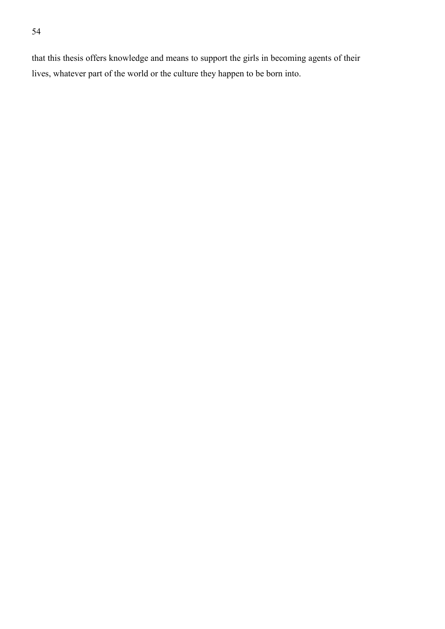that this thesis offers knowledge and means to support the girls in becoming agents of their lives, whatever part of the world or the culture they happen to be born into.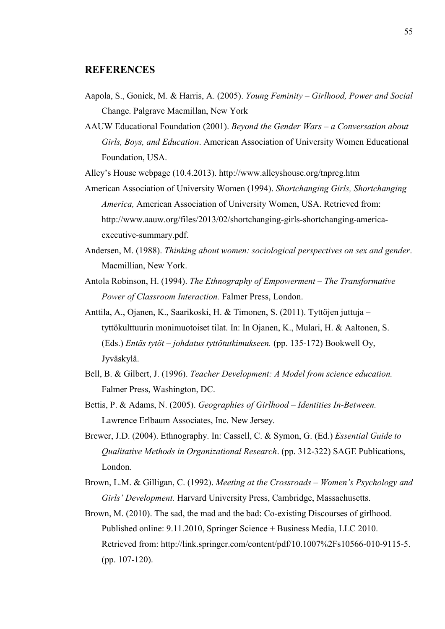# **REFERENCES**

- Aapola, S., Gonick, M. & Harris, A. (2005). *Young Feminity – Girlhood, Power and Social* Change. Palgrave Macmillan, New York
- AAUW Educational Foundation (2001). *Beyond the Gender Wars – a Conversation about Girls, Boys, and Education*. American Association of University Women Educational Foundation, USA.

Alley's House webpage (10.4.2013). http://www.alleyshouse.org/tnpreg.htm

- American Association of University Women (1994). *Shortchanging Girls, Shortchanging America,* American Association of University Women, USA. Retrieved from: http://www.aauw.org/files/2013/02/shortchanging-girls-shortchanging-americaexecutive-summary.pdf.
- Andersen, M. (1988). *Thinking about women: sociological perspectives on sex and gender*. Macmillian, New York.
- Antola Robinson, H. (1994). *The Ethnography of Empowerment – The Transformative Power of Classroom Interaction.* Falmer Press, London.
- Anttila, A., Ojanen, K., Saarikoski, H. & Timonen, S. (2011). Tyttöjen juttuja tyttökulttuurin monimuotoiset tilat. In: In Ojanen, K., Mulari, H. & Aaltonen, S. (Eds.) *Entäs tytöt – johdatus tyttötutkimukseen.* (pp. 135-172) Bookwell Oy, Jyväskylä.
- Bell, B. & Gilbert, J. (1996). *Teacher Development: A Model from science education.* Falmer Press, Washington, DC.
- Bettis, P. & Adams, N. (2005). *Geographies of Girlhood – Identities In-Between.* Lawrence Erlbaum Associates, Inc. New Jersey.
- Brewer, J.D. (2004). Ethnography. In: Cassell, C. & Symon, G. (Ed.) *Essential Guide to Qualitative Methods in Organizational Research*. (pp. 312-322) SAGE Publications, London.
- Brown, L.M. & Gilligan, C. (1992). *Meeting at the Crossroads – Women's Psychology and Girls' Development.* Harvard University Press, Cambridge, Massachusetts.
- Brown, M. (2010). The sad, the mad and the bad: Co-existing Discourses of girlhood. Published online: 9.11.2010, Springer Science + Business Media, LLC 2010. Retrieved from: http://link.springer.com/content/pdf/10.1007%2Fs10566-010-9115-5. (pp. 107-120).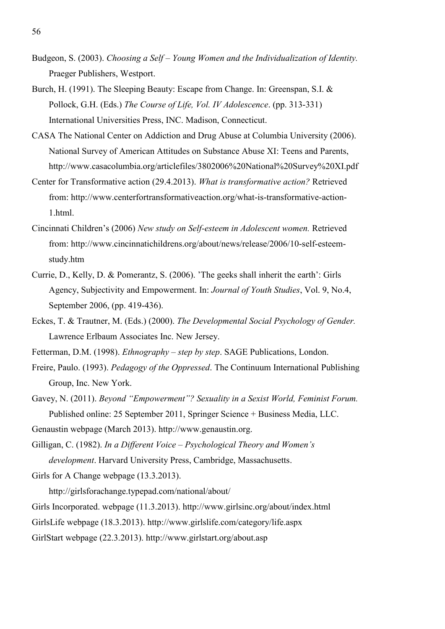- Budgeon, S. (2003). *Choosing a Self – Young Women and the Individualization of Identity.* Praeger Publishers, Westport.
- Burch, H. (1991). The Sleeping Beauty: Escape from Change. In: Greenspan, S.I. & Pollock, G.H. (Eds.) *The Course of Life, Vol. IV Adolescence*. (pp. 313-331) International Universities Press, INC. Madison, Connecticut.
- CASA The National Center on Addiction and Drug Abuse at Columbia University (2006). National Survey of American Attitudes on Substance Abuse XI: Teens and Parents, http://www.casacolumbia.org/articlefiles/3802006%20National%20Survey%20XI.pdf
- Center for Transformative action (29.4.2013). *What is transformative action?* Retrieved from: http://www.centerfortransformativeaction.org/what-is-transformative-action-1.html.
- Cincinnati Children's (2006) *New study on Self-esteem in Adolescent women.* Retrieved from: http://www.cincinnatichildrens.org/about/news/release/2006/10-self-esteemstudy.htm
- Currie, D., Kelly, D. & Pomerantz, S. (2006). 'The geeks shall inherit the earth': Girls Agency, Subjectivity and Empowerment. In: *Journal of Youth Studies*, Vol. 9, No.4, September 2006, (pp. 419-436).
- Eckes, T. & Trautner, M. (Eds.) (2000). *The Developmental Social Psychology of Gender.* Lawrence Erlbaum Associates Inc. New Jersey.
- Fetterman, D.M. (1998). *Ethnography step by step*. SAGE Publications, London.
- Freire, Paulo. (1993). *Pedagogy of the Oppressed*. The Continuum International Publishing Group, Inc. New York.
- Gavey, N. (2011). *Beyond "Empowerment"? Sexuality in a Sexist World, Feminist Forum.* Published online: 25 September 2011, Springer Science + Business Media, LLC.
- Genaustin webpage (March 2013). http://www.genaustin.org.
- Gilligan, C. (1982). *In a Different Voice – Psychological Theory and Women's development*. Harvard University Press, Cambridge, Massachusetts.
- Girls for A Change webpage (13.3.2013).
	- http://girlsforachange.typepad.com/national/about/
- Girls Incorporated. webpage (11.3.2013). http://www.girlsinc.org/about/index.html
- GirlsLife webpage (18.3.2013). http://www.girlslife.com/category/life.aspx
- GirlStart webpage (22.3.2013). http://www.girlstart.org/about.asp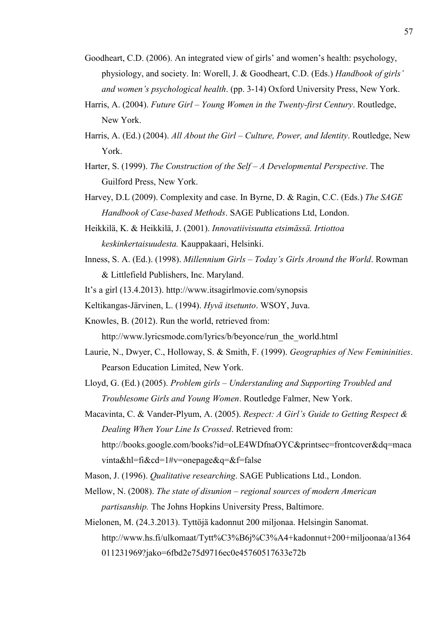- Goodheart, C.D. (2006). An integrated view of girls' and women's health: psychology, physiology, and society. In: Worell, J. & Goodheart, C.D. (Eds.) *Handbook of girls' and women's psychological health*. (pp. 3-14) Oxford University Press, New York.
- Harris, A. (2004). *Future Girl – Young Women in the Twenty-first Century*. Routledge, New York.
- Harris, A. (Ed.) (2004). *All About the Girl – Culture, Power, and Identity*. Routledge, New York.
- Harter, S. (1999). *The Construction of the Self – A Developmental Perspective*. The Guilford Press, New York.
- Harvey, D.L (2009). Complexity and case. In Byrne, D. & Ragin, C.C. (Eds.) *The SAGE Handbook of Case-based Methods*. SAGE Publications Ltd, London.
- Heikkilä, K. & Heikkilä, J. (2001). *Innovatiivisuutta etsimässä. Irtiottoa keskinkertaisuudesta.* Kauppakaari, Helsinki.
- Inness, S. A. (Ed.). (1998). *Millennium Girls – Today's Girls Around the World*. Rowman & Littlefield Publishers, Inc. Maryland.
- It's a girl (13.4.2013). http://www.itsagirlmovie.com/synopsis

Keltikangas-Järvinen, L. (1994). *Hyvä itsetunto*. WSOY, Juva.

Knowles, B. (2012). Run the world, retrieved from:

http://www.lyricsmode.com/lyrics/b/beyonce/run\_the\_world.html

- Laurie, N., Dwyer, C., Holloway, S. & Smith, F. (1999). *Geographies of New Femininities*. Pearson Education Limited, New York.
- Lloyd, G. (Ed.) (2005). *Problem girls – Understanding and Supporting Troubled and Troublesome Girls and Young Women*. Routledge Falmer, New York.
- Macavinta, C. & Vander-Plyum, A. (2005). *Respect: A Girl's Guide to Getting Respect & Dealing When Your Line Is Crossed*. Retrieved from: http://books.google.com/books?id=oLE4WDfnaOYC&printsec=frontcover&dq=maca vinta&hl=fi&cd=1#v=onepage&q=&f=false
- Mason, J. (1996). *Qualitative researching*. SAGE Publications Ltd., London.
- Mellow, N. (2008). *The state of disunion – regional sources of modern American partisanship.* The Johns Hopkins University Press, Baltimore.
- Mielonen, M. (24.3.2013). Tyttöjä kadonnut 200 miljonaa. Helsingin Sanomat. http://www.hs.fi/ulkomaat/Tytt%C3%B6j%C3%A4+kadonnut+200+miljoonaa/a1364 011231969?jako=6fbd2e75d9716ec0e45760517633e72b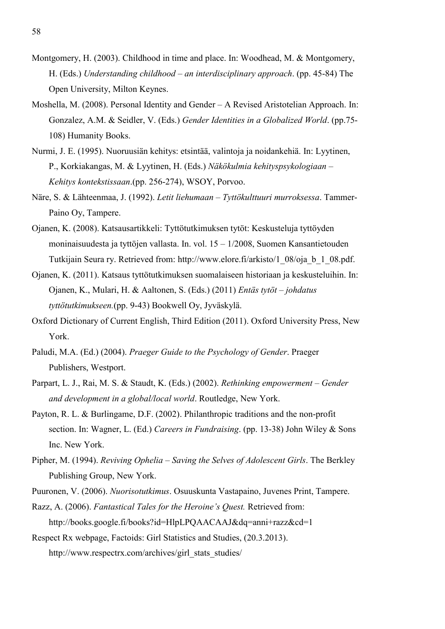- Montgomery, H. (2003). Childhood in time and place. In: Woodhead, M. & Montgomery, H. (Eds.) *Understanding childhood – an interdisciplinary approach*. (pp. 45-84) The Open University, Milton Keynes.
- Moshella, M. (2008). Personal Identity and Gender A Revised Aristotelian Approach. In: Gonzalez, A.M. & Seidler, V. (Eds.) *Gender Identities in a Globalized World*. (pp.75- 108) Humanity Books.
- Nurmi, J. E. (1995). Nuoruusiän kehitys: etsintää, valintoja ja noidankehiä. In: Lyytinen, P., Korkiakangas, M. & Lyytinen, H. (Eds.) *Näkökulmia kehityspsykologiaan – Kehitys kontekstissaan*.(pp. 256-274), WSOY, Porvoo.
- Näre, S. & Lähteenmaa, J. (1992). *Letit liehumaan – Tyttökulttuuri murroksessa*. Tammer-Paino Oy, Tampere.
- Ojanen, K. (2008). Katsausartikkeli: Tyttötutkimuksen tytöt: Keskusteluja tyttöyden moninaisuudesta ja tyttöjen vallasta. In. vol. 15 – 1/2008, Suomen Kansantietouden Tutkijain Seura ry. Retrieved from: http://www.elore.fi/arkisto/1\_08/oja\_b\_1\_08.pdf.
- Ojanen, K. (2011). Katsaus tyttötutkimuksen suomalaiseen historiaan ja keskusteluihin. In: Ojanen, K., Mulari, H. & Aaltonen, S. (Eds.) (2011) *Entäs tytöt – johdatus tyttötutkimukseen.*(pp. 9-43) Bookwell Oy, Jyväskylä.
- Oxford Dictionary of Current English, Third Edition (2011). Oxford University Press, New York.
- Paludi, M.A. (Ed.) (2004). *Praeger Guide to the Psychology of Gender*. Praeger Publishers, Westport.
- Parpart, L. J., Rai, M. S. & Staudt, K. (Eds.) (2002). *Rethinking empowerment – Gender and development in a global/local world*. Routledge, New York.
- Payton, R. L. & Burlingame, D.F. (2002). Philanthropic traditions and the non-profit section. In: Wagner, L. (Ed.) *Careers in Fundraising*. (pp. 13-38) John Wiley & Sons Inc. New York.
- Pipher, M. (1994). *Reviving Ophelia – Saving the Selves of Adolescent Girls*. The Berkley Publishing Group, New York.
- Puuronen, V. (2006). *Nuorisotutkimus*. Osuuskunta Vastapaino, Juvenes Print, Tampere.
- Razz, A. (2006). *Fantastical Tales for the Heroine's Quest.* Retrieved from: http://books.google.fi/books?id=HlpLPQAACAAJ&dq=anni+razz&cd=1
- Respect Rx webpage, Factoids: Girl Statistics and Studies, (20.3.2013).

http://www.respectrx.com/archives/girl\_stats\_studies/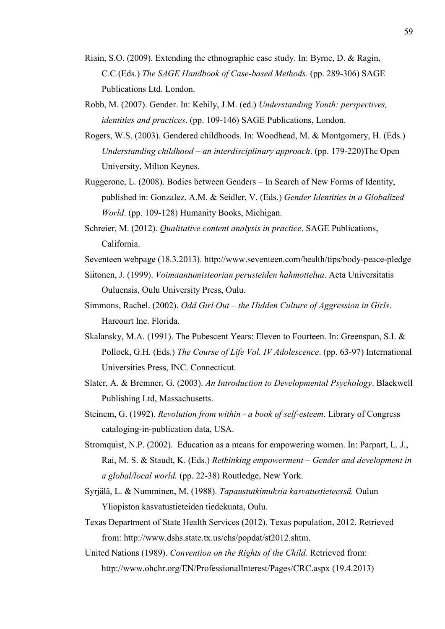- Riain, S.O. (2009). Extending the ethnographic case study. In: Byrne, D. & Ragin, C.C.(Eds.) *The SAGE Handbook of Case-based Methods*. (pp. 289-306) SAGE Publications Ltd. London.
- Robb, M. (2007). Gender. In: Kehily, J.M. (ed.) *Understanding Youth: perspectives, identities and practices*. (pp. 109-146) SAGE Publications, London.
- Rogers, W.S. (2003). Gendered childhoods. In: Woodhead, M. & Montgomery, H. (Eds.) *Understanding childhood – an interdisciplinary approach*. (pp. 179-220)The Open University, Milton Keynes.
- Ruggerone, L. (2008). Bodies between Genders In Search of New Forms of Identity, published in: Gonzalez, A.M. & Seidler, V. (Eds.) *Gender Identities in a Globalized World*. (pp. 109-128) Humanity Books, Michigan.
- Schreier, M. (2012). *Qualitative content analysis in practice*. SAGE Publications, California.
- Seventeen webpage (18.3.2013). http://www.seventeen.com/health/tips/body-peace-pledge
- Siitonen, J. (1999). *Voimaantumisteorian perusteiden hahmottelua*. Acta Universitatis Ouluensis, Oulu University Press, Oulu.
- Simmons, Rachel. (2002). *Odd Girl Out – the Hidden Culture of Aggression in Girls*. Harcourt Inc. Florida.
- Skalansky, M.A. (1991). The Pubescent Years: Eleven to Fourteen. In: Greenspan, S.I. & Pollock, G.H. (Eds.) *The Course of Life Vol. IV Adolescence*. (pp. 63-97) International Universities Press, INC. Connecticut.
- Slater, A. & Bremner, G. (2003). *An Introduction to Developmental Psychology*. Blackwell Publishing Ltd, Massachusetts.
- Steinem, G. (1992). *Revolution from within - a book of self-esteem*. Library of Congress cataloging-in-publication data, USA.
- Stromquist, N.P. (2002). Education as a means for empowering women. In: Parpart, L. J., Rai, M. S. & Staudt, K. (Eds.) *Rethinking empowerment – Gender and development in a global/local world.* (pp. 22-38) Routledge, New York.
- Syrjälä, L. & Numminen, M. (1988). *Tapaustutkimuksia kasvatustieteessä.* Oulun Yliopiston kasvatustieteiden tiedekunta, Oulu.
- Texas Department of State Health Services (2012). Texas population, 2012. Retrieved from: http://www.dshs.state.tx.us/chs/popdat/st2012.shtm.
- United Nations (1989). *Convention on the Rights of the Child.* Retrieved from: http://www.ohchr.org/EN/ProfessionalInterest/Pages/CRC.aspx (19.4.2013)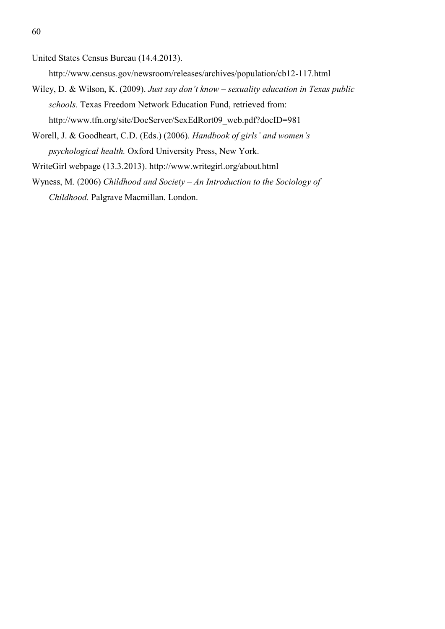United States Census Bureau (14.4.2013).

http://www.census.gov/newsroom/releases/archives/population/cb12-117.html

- Wiley, D. & Wilson, K. (2009). *Just say don't know – sexuality education in Texas public schools.* Texas Freedom Network Education Fund, retrieved from: http://www.tfn.org/site/DocServer/SexEdRort09\_web.pdf?docID=981
- Worell, J. & Goodheart, C.D. (Eds.) (2006). *Handbook of girls' and women's psychological health.* Oxford University Press, New York.
- WriteGirl webpage (13.3.2013). http://www.writegirl.org/about.html
- Wyness, M. (2006) *Childhood and Society – An Introduction to the Sociology of Childhood.* Palgrave Macmillan. London.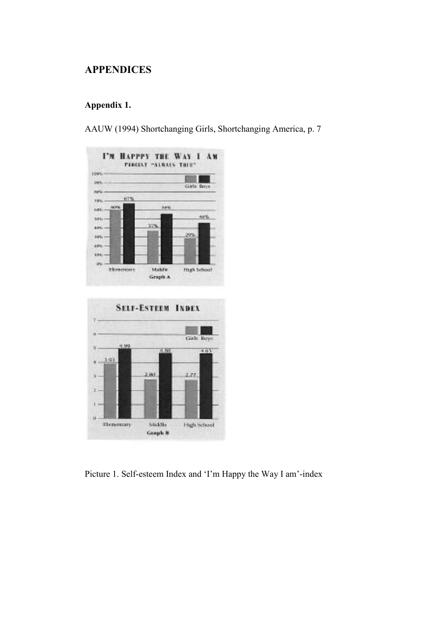# **APPENDICES**

# **Appendix 1.**

AAUW (1994) Shortchanging Girls, Shortchanging America, p. 7



Picture 1. Self-esteem Index and 'I'm Happy the Way I am'-index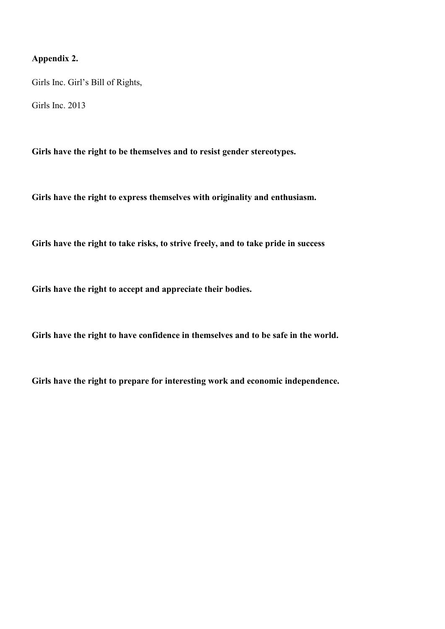# **Appendix 2.**

Girls Inc. Girl's Bill of Rights,

Girls Inc. 2013

**Girls have the right to be themselves and to resist gender stereotypes.**

**Girls have the right to express themselves with originality and enthusiasm.**

**Girls have the right to take risks, to strive freely, and to take pride in success**

**Girls have the right to accept and appreciate their bodies.**

**Girls have the right to have confidence in themselves and to be safe in the world.**

**Girls have the right to prepare for interesting work and economic independence.**